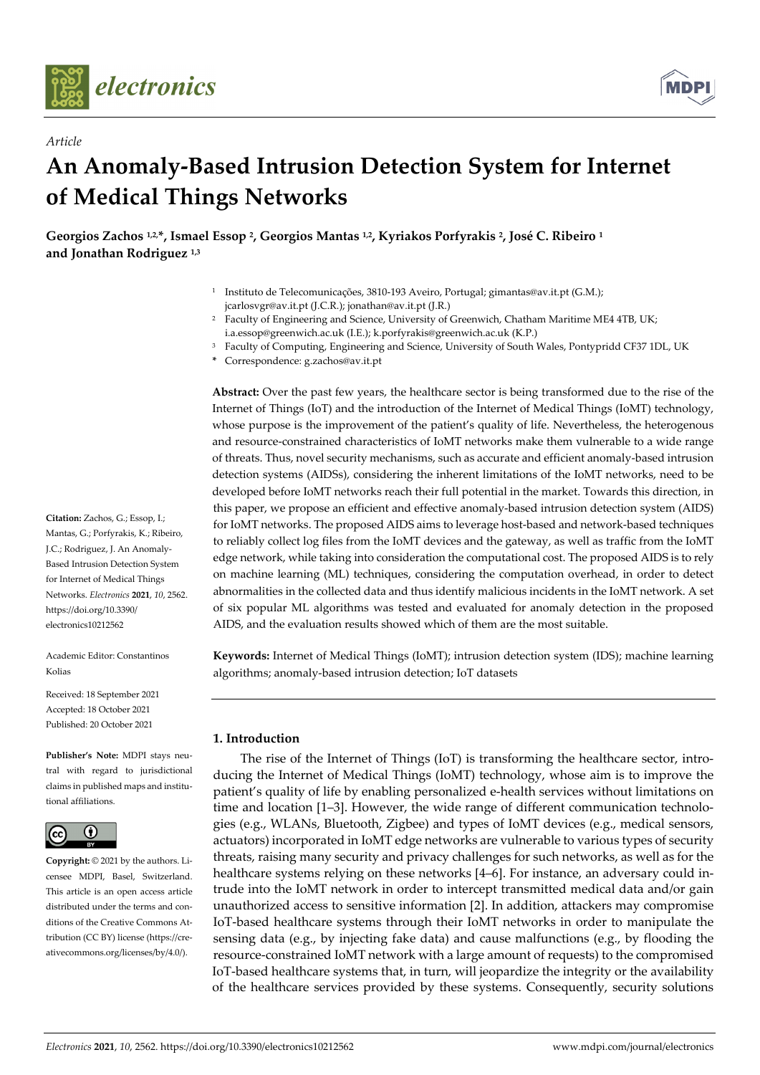

*Article* 



# **An Anomaly-Based Intrusion Detection System for Internet of Medical Things Networks**

Georgios Zachos <sup>1,2,\*</sup>, Ismael Essop <sup>2</sup>, Georgios Mantas <sup>1,2</sup>, Kyriakos Porfyrakis <sup>2</sup>, José C. Ribeiro <sup>1</sup> **and Jonathan Rodriguez 1,3**

- 1 Instituto de Telecomunicações, 3810-193 Aveiro, Portugal; gimantas@av.it.pt (G.M.); jcarlosvgr@av.it.pt (J.C.R.); jonathan@av.it.pt (J.R.)
- <sup>2</sup> Faculty of Engineering and Science, University of Greenwich, Chatham Maritime ME4 4TB, UK; i.a.essop@greenwich.ac.uk (I.E.); k.porfyrakis@greenwich.ac.uk (K.P.)
- 3 Faculty of Computing, Engineering and Science, University of South Wales, Pontypridd CF37 1DL, UK
- **\*** Correspondence: g.zachos@av.it.pt

**Abstract:** Over the past few years, the healthcare sector is being transformed due to the rise of the Internet of Things (IoT) and the introduction of the Internet of Medical Things (IoMT) technology, whose purpose is the improvement of the patient's quality of life. Nevertheless, the heterogenous and resource-constrained characteristics of IoMT networks make them vulnerable to a wide range of threats. Thus, novel security mechanisms, such as accurate and efficient anomaly-based intrusion detection systems (AIDSs), considering the inherent limitations of the IoMT networks, need to be developed before IoMT networks reach their full potential in the market. Towards this direction, in this paper, we propose an efficient and effective anomaly-based intrusion detection system (AIDS) for IoMT networks. The proposed AIDS aims to leverage host-based and network-based techniques to reliably collect log files from the IoMT devices and the gateway, as well as traffic from the IoMT edge network, while taking into consideration the computational cost. The proposed AIDS is to rely on machine learning (ML) techniques, considering the computation overhead, in order to detect abnormalities in the collected data and thus identify malicious incidents in the IoMT network. A set of six popular ML algorithms was tested and evaluated for anomaly detection in the proposed AIDS, and the evaluation results showed which of them are the most suitable.

**Keywords:** Internet of Medical Things (IoMT); intrusion detection system (IDS); machine learning algorithms; anomaly-based intrusion detection; IoT datasets

# **1. Introduction**

The rise of the Internet of Things (IoT) is transforming the healthcare sector, introducing the Internet of Medical Things (IoMT) technology, whose aim is to improve the patient's quality of life by enabling personalized e-health services without limitations on time and location [1–3]. However, the wide range of different communication technologies (e.g., WLANs, Bluetooth, Zigbee) and types of IoMT devices (e.g., medical sensors, actuators) incorporated in IoMT edge networks are vulnerable to various types of security threats, raising many security and privacy challenges for such networks, as well as for the healthcare systems relying on these networks [4–6]. For instance, an adversary could intrude into the IoMT network in order to intercept transmitted medical data and/or gain unauthorized access to sensitive information [2]. In addition, attackers may compromise IoT-based healthcare systems through their IoMT networks in order to manipulate the sensing data (e.g., by injecting fake data) and cause malfunctions (e.g., by flooding the resource-constrained IoMT network with a large amount of requests) to the compromised IoT-based healthcare systems that, in turn, will jeopardize the integrity or the availability of the healthcare services provided by these systems. Consequently, security solutions

**Citation:** Zachos, G.; Essop, I.; Mantas, G.; Porfyrakis, K.; Ribeiro, J.C.; Rodriguez, J. An Anomaly-Based Intrusion Detection System for Internet of Medical Things Networks. *Electronics* **2021**, *10*, 2562. https://doi.org/10.3390/ electronics10212562

Academic Editor: Constantinos Kolias

Received: 18 September 2021 Accepted: 18 October 2021 Published: 20 October 2021

**Publisher's Note:** MDPI stays neutral with regard to jurisdictional claims in published maps and institutional affiliations.



**Copyright:** © 2021 by the authors. Licensee MDPI, Basel, Switzerland. This article is an open access article distributed under the terms and conditions of the Creative Commons Attribution (CC BY) license (https://creativecommons.org/licenses/by/4.0/).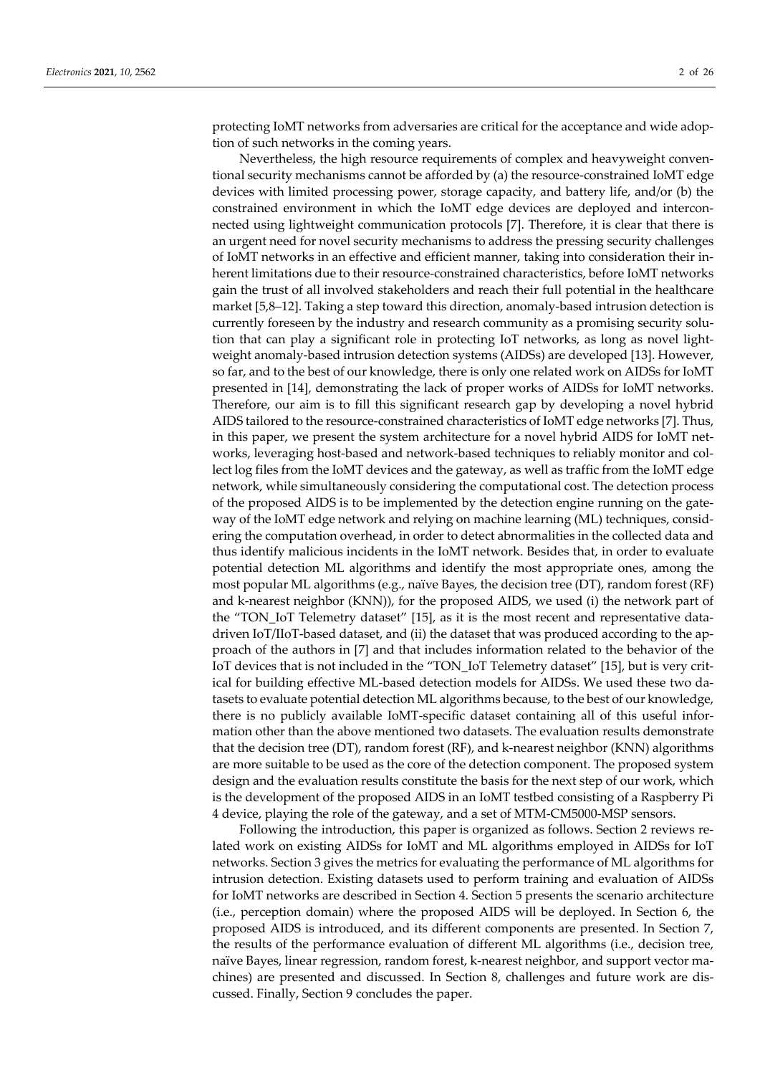protecting IoMT networks from adversaries are critical for the acceptance and wide adoption of such networks in the coming years.

Nevertheless, the high resource requirements of complex and heavyweight conventional security mechanisms cannot be afforded by (a) the resource-constrained IoMT edge devices with limited processing power, storage capacity, and battery life, and/or (b) the constrained environment in which the IoMT edge devices are deployed and interconnected using lightweight communication protocols [7]. Therefore, it is clear that there is an urgent need for novel security mechanisms to address the pressing security challenges of IoMT networks in an effective and efficient manner, taking into consideration their inherent limitations due to their resource-constrained characteristics, before IoMT networks gain the trust of all involved stakeholders and reach their full potential in the healthcare market [5,8–12]. Taking a step toward this direction, anomaly-based intrusion detection is currently foreseen by the industry and research community as a promising security solution that can play a significant role in protecting IoT networks, as long as novel lightweight anomaly-based intrusion detection systems (AIDSs) are developed [13]. However, so far, and to the best of our knowledge, there is only one related work on AIDSs for IoMT presented in [14], demonstrating the lack of proper works of AIDSs for IoMT networks. Therefore, our aim is to fill this significant research gap by developing a novel hybrid AIDS tailored to the resource-constrained characteristics of IoMT edge networks [7]. Thus, in this paper, we present the system architecture for a novel hybrid AIDS for IoMT networks, leveraging host-based and network-based techniques to reliably monitor and collect log files from the IoMT devices and the gateway, as well as traffic from the IoMT edge network, while simultaneously considering the computational cost. The detection process of the proposed AIDS is to be implemented by the detection engine running on the gateway of the IoMT edge network and relying on machine learning (ML) techniques, considering the computation overhead, in order to detect abnormalities in the collected data and thus identify malicious incidents in the IoMT network. Besides that, in order to evaluate potential detection ML algorithms and identify the most appropriate ones, among the most popular ML algorithms (e.g., naïve Bayes, the decision tree (DT), random forest (RF) and k-nearest neighbor (KNN)), for the proposed AIDS, we used (i) the network part of the "TON\_IoT Telemetry dataset" [15], as it is the most recent and representative datadriven IoT/IIoT-based dataset, and (ii) the dataset that was produced according to the approach of the authors in [7] and that includes information related to the behavior of the IoT devices that is not included in the "TON\_IoT Telemetry dataset" [15], but is very critical for building effective ML-based detection models for AIDSs. We used these two datasets to evaluate potential detection ML algorithms because, to the best of our knowledge, there is no publicly available IoMT-specific dataset containing all of this useful information other than the above mentioned two datasets. The evaluation results demonstrate that the decision tree (DT), random forest (RF), and k-nearest neighbor (KNN) algorithms are more suitable to be used as the core of the detection component. The proposed system design and the evaluation results constitute the basis for the next step of our work, which is the development of the proposed AIDS in an IoMT testbed consisting of a Raspberry Pi 4 device, playing the role of the gateway, and a set of MTM-CM5000-MSP sensors.

Following the introduction, this paper is organized as follows. Section 2 reviews related work on existing AIDSs for IoMT and ML algorithms employed in AIDSs for IoT networks. Section 3 gives the metrics for evaluating the performance of ML algorithms for intrusion detection. Existing datasets used to perform training and evaluation of AIDSs for IoMT networks are described in Section 4. Section 5 presents the scenario architecture (i.e., perception domain) where the proposed AIDS will be deployed. In Section 6, the proposed AIDS is introduced, and its different components are presented. In Section 7, the results of the performance evaluation of different ML algorithms (i.e., decision tree, naïve Bayes, linear regression, random forest, k-nearest neighbor, and support vector machines) are presented and discussed. In Section 8, challenges and future work are discussed. Finally, Section 9 concludes the paper.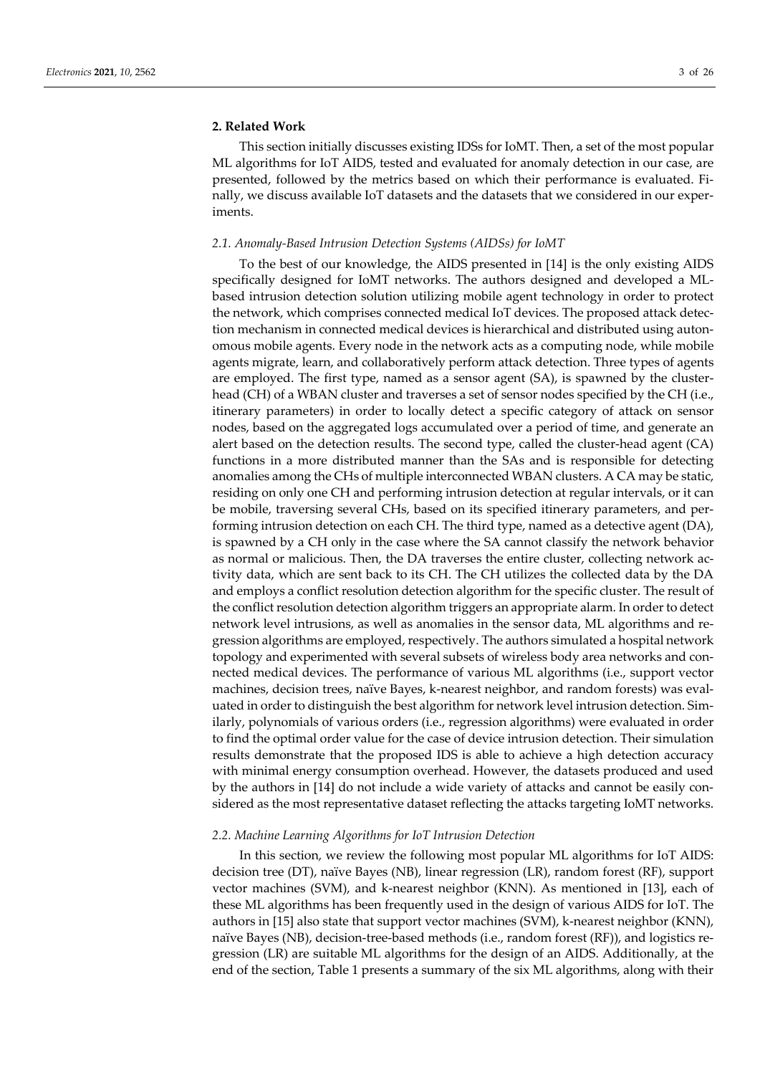### **2. Related Work**

This section initially discusses existing IDSs for IoMT. Then, a set of the most popular ML algorithms for IoT AIDS, tested and evaluated for anomaly detection in our case, are presented, followed by the metrics based on which their performance is evaluated. Finally, we discuss available IoT datasets and the datasets that we considered in our experiments.

#### *2.1. Anomaly-Based Intrusion Detection Systems (AIDSs) for IoMT*

To the best of our knowledge, the AIDS presented in [14] is the only existing AIDS specifically designed for IoMT networks. The authors designed and developed a MLbased intrusion detection solution utilizing mobile agent technology in order to protect the network, which comprises connected medical IoT devices. The proposed attack detection mechanism in connected medical devices is hierarchical and distributed using autonomous mobile agents. Every node in the network acts as a computing node, while mobile agents migrate, learn, and collaboratively perform attack detection. Three types of agents are employed. The first type, named as a sensor agent (SA), is spawned by the clusterhead (CH) of a WBAN cluster and traverses a set of sensor nodes specified by the CH (i.e., itinerary parameters) in order to locally detect a specific category of attack on sensor nodes, based on the aggregated logs accumulated over a period of time, and generate an alert based on the detection results. The second type, called the cluster-head agent (CA) functions in a more distributed manner than the SAs and is responsible for detecting anomalies among the CHs of multiple interconnected WBAN clusters. A CA may be static, residing on only one CH and performing intrusion detection at regular intervals, or it can be mobile, traversing several CHs, based on its specified itinerary parameters, and performing intrusion detection on each CH. The third type, named as a detective agent (DA), is spawned by a CH only in the case where the SA cannot classify the network behavior as normal or malicious. Then, the DA traverses the entire cluster, collecting network activity data, which are sent back to its CH. The CH utilizes the collected data by the DA and employs a conflict resolution detection algorithm for the specific cluster. The result of the conflict resolution detection algorithm triggers an appropriate alarm. In order to detect network level intrusions, as well as anomalies in the sensor data, ML algorithms and regression algorithms are employed, respectively. The authors simulated a hospital network topology and experimented with several subsets of wireless body area networks and connected medical devices. The performance of various ML algorithms (i.e., support vector machines, decision trees, naïve Bayes, k-nearest neighbor, and random forests) was evaluated in order to distinguish the best algorithm for network level intrusion detection. Similarly, polynomials of various orders (i.e., regression algorithms) were evaluated in order to find the optimal order value for the case of device intrusion detection. Their simulation results demonstrate that the proposed IDS is able to achieve a high detection accuracy with minimal energy consumption overhead. However, the datasets produced and used by the authors in [14] do not include a wide variety of attacks and cannot be easily considered as the most representative dataset reflecting the attacks targeting IoMT networks.

## *2.2. Machine Learning Algorithms for IoT Intrusion Detection*

In this section, we review the following most popular ML algorithms for IoT AIDS: decision tree (DT), naïve Bayes (NB), linear regression (LR), random forest (RF), support vector machines (SVM), and k-nearest neighbor (KNN). As mentioned in [13], each of these ML algorithms has been frequently used in the design of various AIDS for IoT. The authors in [15] also state that support vector machines (SVM), k-nearest neighbor (KNN), naïve Bayes (NB), decision-tree-based methods (i.e., random forest (RF)), and logistics regression (LR) are suitable ML algorithms for the design of an AIDS. Additionally, at the end of the section, Table 1 presents a summary of the six ML algorithms, along with their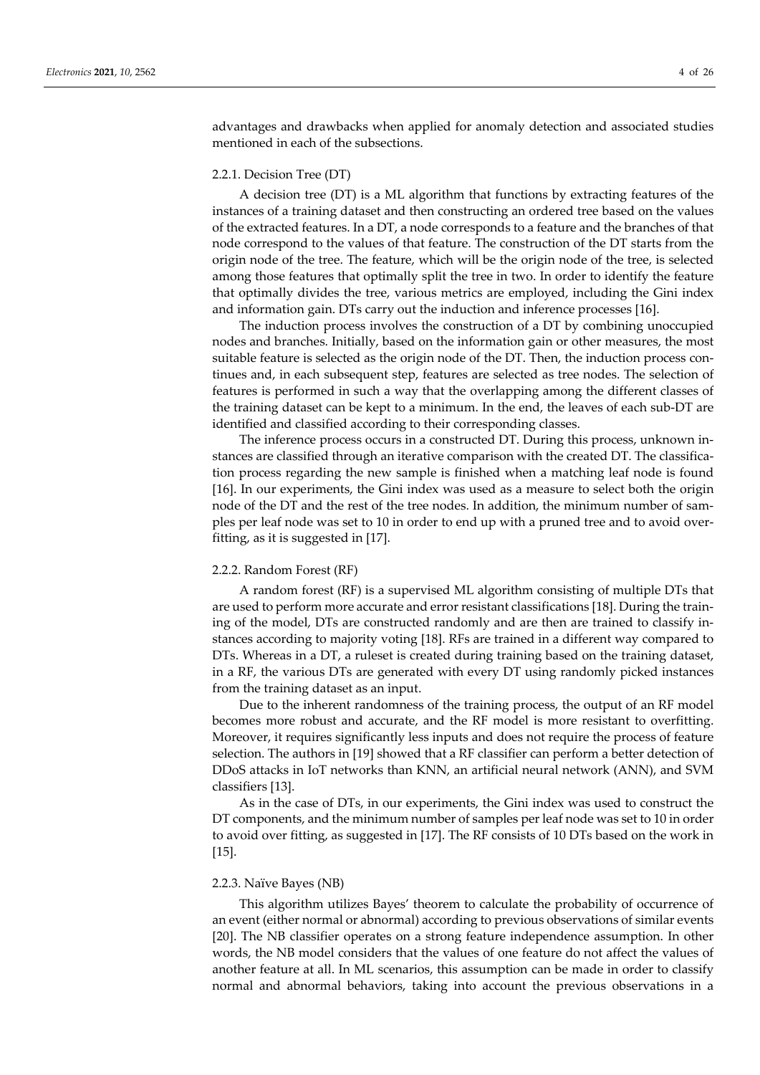advantages and drawbacks when applied for anomaly detection and associated studies mentioned in each of the subsections.

### 2.2.1. Decision Tree (DT)

A decision tree (DT) is a ML algorithm that functions by extracting features of the instances of a training dataset and then constructing an ordered tree based on the values of the extracted features. In a DT, a node corresponds to a feature and the branches of that node correspond to the values of that feature. The construction of the DT starts from the origin node of the tree. The feature, which will be the origin node of the tree, is selected among those features that optimally split the tree in two. In order to identify the feature that optimally divides the tree, various metrics are employed, including the Gini index and information gain. DTs carry out the induction and inference processes [16].

The induction process involves the construction of a DT by combining unoccupied nodes and branches. Initially, based on the information gain or other measures, the most suitable feature is selected as the origin node of the DT. Then, the induction process continues and, in each subsequent step, features are selected as tree nodes. The selection of features is performed in such a way that the overlapping among the different classes of the training dataset can be kept to a minimum. In the end, the leaves of each sub-DT are identified and classified according to their corresponding classes.

The inference process occurs in a constructed DT. During this process, unknown instances are classified through an iterative comparison with the created DT. The classification process regarding the new sample is finished when a matching leaf node is found [16]. In our experiments, the Gini index was used as a measure to select both the origin node of the DT and the rest of the tree nodes. In addition, the minimum number of samples per leaf node was set to 10 in order to end up with a pruned tree and to avoid overfitting, as it is suggested in [17].

#### 2.2.2. Random Forest (RF)

A random forest (RF) is a supervised ML algorithm consisting of multiple DTs that are used to perform more accurate and error resistant classifications [18]. During the training of the model, DTs are constructed randomly and are then are trained to classify instances according to majority voting [18]. RFs are trained in a different way compared to DTs. Whereas in a DT, a ruleset is created during training based on the training dataset, in a RF, the various DTs are generated with every DT using randomly picked instances from the training dataset as an input.

Due to the inherent randomness of the training process, the output of an RF model becomes more robust and accurate, and the RF model is more resistant to overfitting. Moreover, it requires significantly less inputs and does not require the process of feature selection. The authors in [19] showed that a RF classifier can perform a better detection of DDoS attacks in IoT networks than KNN, an artificial neural network (ANN), and SVM classifiers [13].

As in the case of DTs, in our experiments, the Gini index was used to construct the DT components, and the minimum number of samples per leaf node was set to 10 in order to avoid over fitting, as suggested in [17]. The RF consists of 10 DTs based on the work in [15].

#### 2.2.3. Naïve Bayes (NB)

This algorithm utilizes Bayes' theorem to calculate the probability of occurrence of an event (either normal or abnormal) according to previous observations of similar events [20]. The NB classifier operates on a strong feature independence assumption. In other words, the NB model considers that the values of one feature do not affect the values of another feature at all. In ML scenarios, this assumption can be made in order to classify normal and abnormal behaviors, taking into account the previous observations in a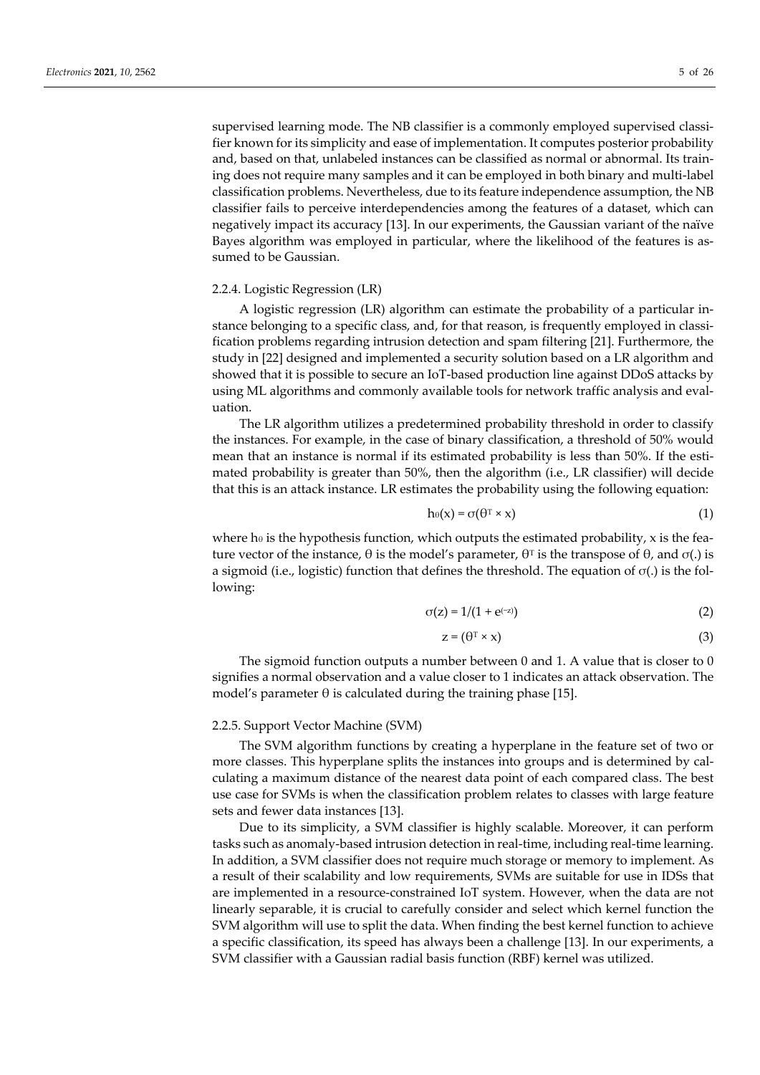supervised learning mode. The NB classifier is a commonly employed supervised classifier known for its simplicity and ease of implementation. It computes posterior probability and, based on that, unlabeled instances can be classified as normal or abnormal. Its training does not require many samples and it can be employed in both binary and multi-label classification problems. Nevertheless, due to its feature independence assumption, the NB classifier fails to perceive interdependencies among the features of a dataset, which can negatively impact its accuracy [13]. In our experiments, the Gaussian variant of the naïve Bayes algorithm was employed in particular, where the likelihood of the features is assumed to be Gaussian.

#### 2.2.4. Logistic Regression (LR)

A logistic regression (LR) algorithm can estimate the probability of a particular instance belonging to a specific class, and, for that reason, is frequently employed in classification problems regarding intrusion detection and spam filtering [21]. Furthermore, the study in [22] designed and implemented a security solution based on a LR algorithm and showed that it is possible to secure an IoT-based production line against DDoS attacks by using ML algorithms and commonly available tools for network traffic analysis and evaluation.

The LR algorithm utilizes a predetermined probability threshold in order to classify the instances. For example, in the case of binary classification, a threshold of 50% would mean that an instance is normal if its estimated probability is less than 50%. If the estimated probability is greater than 50%, then the algorithm (i.e., LR classifier) will decide that this is an attack instance. LR estimates the probability using the following equation:

$$
h_{\theta}(x) = \sigma(\theta^T \times x) \tag{1}
$$

where h $\theta$  is the hypothesis function, which outputs the estimated probability, x is the feature vector of the instance, θ is the model's parameter,  $θ<sup>T</sup>$  is the transpose of  $θ$ , and  $σ(.)$  is a sigmoid (i.e., logistic) function that defines the threshold. The equation of  $σ(.)$  is the following:

$$
\sigma(z) = 1/(1 + e^{(-z)})\tag{2}
$$

$$
z = (\theta^T \times x) \tag{3}
$$

The sigmoid function outputs a number between 0 and 1. A value that is closer to 0 signifies a normal observation and a value closer to 1 indicates an attack observation. The model's parameter  $\theta$  is calculated during the training phase [15].

#### 2.2.5. Support Vector Machine (SVM)

The SVM algorithm functions by creating a hyperplane in the feature set of two or more classes. This hyperplane splits the instances into groups and is determined by calculating a maximum distance of the nearest data point of each compared class. The best use case for SVMs is when the classification problem relates to classes with large feature sets and fewer data instances [13].

Due to its simplicity, a SVM classifier is highly scalable. Moreover, it can perform tasks such as anomaly-based intrusion detection in real-time, including real-time learning. In addition, a SVM classifier does not require much storage or memory to implement. As a result of their scalability and low requirements, SVMs are suitable for use in IDSs that are implemented in a resource-constrained IoT system. However, when the data are not linearly separable, it is crucial to carefully consider and select which kernel function the SVM algorithm will use to split the data. When finding the best kernel function to achieve a specific classification, its speed has always been a challenge [13]. In our experiments, a SVM classifier with a Gaussian radial basis function (RBF) kernel was utilized.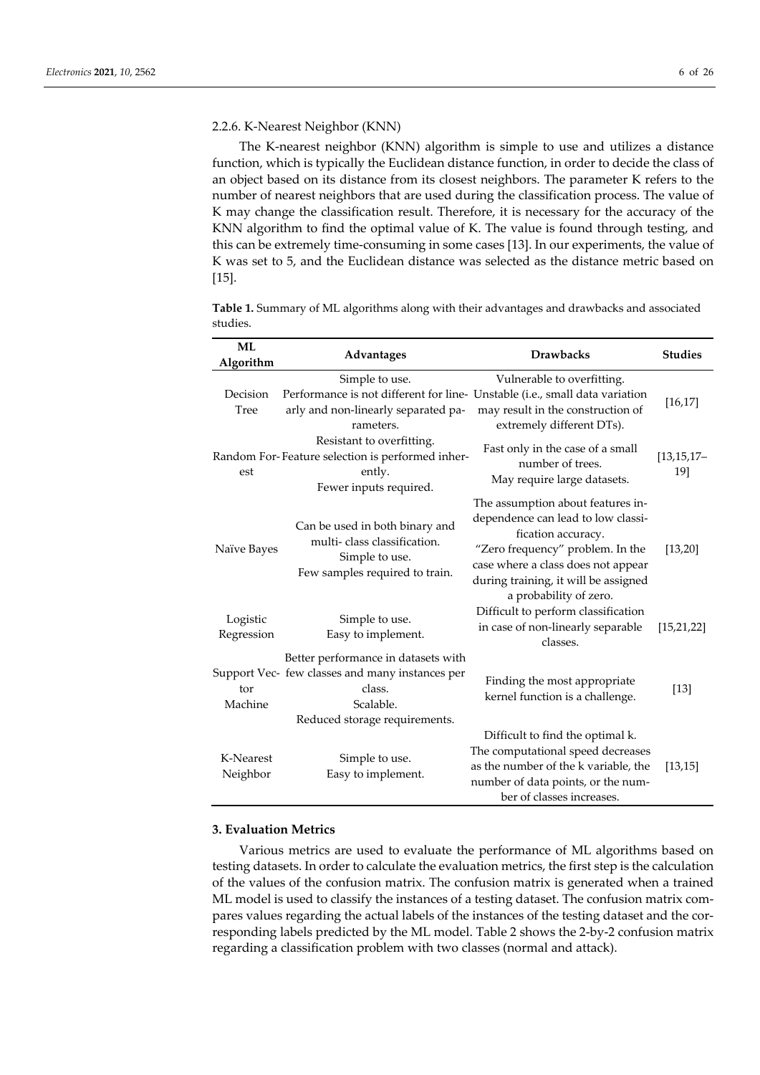#### 2.2.6. K-Nearest Neighbor (KNN)

The K-nearest neighbor (KNN) algorithm is simple to use and utilizes a distance function, which is typically the Euclidean distance function, in order to decide the class of an object based on its distance from its closest neighbors. The parameter K refers to the number of nearest neighbors that are used during the classification process. The value of K may change the classification result. Therefore, it is necessary for the accuracy of the KNN algorithm to find the optimal value of K. The value is found through testing, and this can be extremely time-consuming in some cases [13]. In our experiments, the value of K was set to 5, and the Euclidean distance was selected as the distance metric based on [15].

**Table 1.** Summary of ML algorithms along with their advantages and drawbacks and associated studies.

| <b>ML</b><br>Algorithm | <b>Advantages</b>                                                                                                                                 | <b>Drawbacks</b>                                                                                                                                                                                                                          | <b>Studies</b>        |
|------------------------|---------------------------------------------------------------------------------------------------------------------------------------------------|-------------------------------------------------------------------------------------------------------------------------------------------------------------------------------------------------------------------------------------------|-----------------------|
| Decision<br>Tree       | Simple to use.<br>Performance is not different for line- Unstable (i.e., small data variation<br>arly and non-linearly separated pa-<br>rameters. | Vulnerable to overfitting.<br>may result in the construction of<br>extremely different DTs).                                                                                                                                              | [16, 17]              |
| est                    | Resistant to overfitting.<br>Random For-Feature selection is performed inher-<br>ently.<br>Fewer inputs required.                                 | Fast only in the case of a small<br>number of trees.<br>May require large datasets.                                                                                                                                                       | $[13, 15, 17-$<br>19] |
| Naïve Bayes            | Can be used in both binary and<br>multi-class classification.<br>Simple to use.<br>Few samples required to train.                                 | The assumption about features in-<br>dependence can lead to low classi-<br>fication accuracy.<br>"Zero frequency" problem. In the<br>case where a class does not appear<br>during training, it will be assigned<br>a probability of zero. | [13, 20]              |
| Logistic<br>Regression | Simple to use.<br>Easy to implement.                                                                                                              | Difficult to perform classification<br>in case of non-linearly separable<br>classes.                                                                                                                                                      | [15, 21, 22]          |
| tor<br>Machine         | Better performance in datasets with<br>Support Vec- few classes and many instances per<br>class.<br>Scalable.<br>Reduced storage requirements.    | Finding the most appropriate<br>kernel function is a challenge.                                                                                                                                                                           | $[13]$                |
| K-Nearest<br>Neighbor  | Simple to use.<br>Easy to implement.                                                                                                              | Difficult to find the optimal k.<br>The computational speed decreases<br>as the number of the k variable, the<br>number of data points, or the num-<br>ber of classes increases.                                                          | [13, 15]              |

## **3. Evaluation Metrics**

Various metrics are used to evaluate the performance of ML algorithms based on testing datasets. In order to calculate the evaluation metrics, the first step is the calculation of the values of the confusion matrix. The confusion matrix is generated when a trained ML model is used to classify the instances of a testing dataset. The confusion matrix compares values regarding the actual labels of the instances of the testing dataset and the corresponding labels predicted by the ML model. Table 2 shows the 2-by-2 confusion matrix regarding a classification problem with two classes (normal and attack).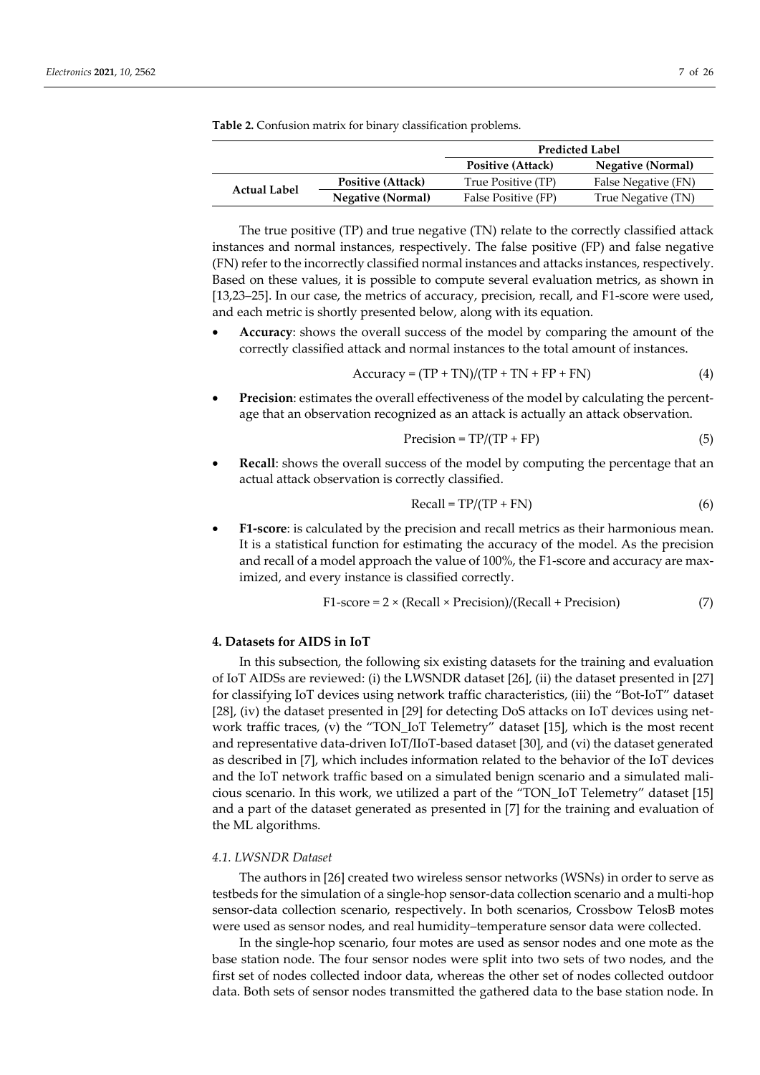|                     |                          | <b>Predicted Label</b> |                          |
|---------------------|--------------------------|------------------------|--------------------------|
|                     |                          | Positive (Attack)      | <b>Negative (Normal)</b> |
|                     | <b>Positive (Attack)</b> | True Positive (TP)     | False Negative (FN)      |
| <b>Actual Label</b> | <b>Negative (Normal)</b> | False Positive (FP)    | True Negative (TN)       |

**Table 2.** Confusion matrix for binary classification problems.

The true positive (TP) and true negative (TN) relate to the correctly classified attack instances and normal instances, respectively. The false positive (FP) and false negative (FN) refer to the incorrectly classified normal instances and attacks instances, respectively. Based on these values, it is possible to compute several evaluation metrics, as shown in [13,23–25]. In our case, the metrics of accuracy, precision, recall, and F1-score were used, and each metric is shortly presented below, along with its equation.

• **Accuracy**: shows the overall success of the model by comparing the amount of the correctly classified attack and normal instances to the total amount of instances.

$$
Accuracy = (TP + TN)/(TP + TN + FP + FN)
$$
 (4)

**Precision**: estimates the overall effectiveness of the model by calculating the percentage that an observation recognized as an attack is actually an attack observation.

$$
Precision = TP/(TP + FP)
$$
\n(5)

**Recall:** shows the overall success of the model by computing the percentage that an actual attack observation is correctly classified.

$$
Recall = TP/(TP + FN)
$$
 (6)

• **F1-score**: is calculated by the precision and recall metrics as their harmonious mean. It is a statistical function for estimating the accuracy of the model. As the precision and recall of a model approach the value of 100%, the F1-score and accuracy are maximized, and every instance is classified correctly.

$$
F1-score = 2 \times (Recall \times Precision)/(Recall + Precision)
$$
 (7)

## **4. Datasets for AIDS in IoT**

In this subsection, the following six existing datasets for the training and evaluation of IoT AIDSs are reviewed: (i) the LWSNDR dataset [26], (ii) the dataset presented in [27] for classifying IoT devices using network traffic characteristics, (iii) the "Bot-IoT" dataset [28], (iv) the dataset presented in [29] for detecting DoS attacks on IoT devices using network traffic traces, (v) the "TON\_IoT Telemetry" dataset [15], which is the most recent and representative data-driven IoT/IIoT-based dataset [30], and (vi) the dataset generated as described in [7], which includes information related to the behavior of the IoT devices and the IoT network traffic based on a simulated benign scenario and a simulated malicious scenario. In this work, we utilized a part of the "TON\_IoT Telemetry" dataset [15] and a part of the dataset generated as presented in [7] for the training and evaluation of the ML algorithms.

## *4.1. LWSNDR Dataset*

The authors in [26] created two wireless sensor networks (WSNs) in order to serve as testbeds for the simulation of a single-hop sensor-data collection scenario and a multi-hop sensor-data collection scenario, respectively. In both scenarios, Crossbow TelosB motes were used as sensor nodes, and real humidity–temperature sensor data were collected.

In the single-hop scenario, four motes are used as sensor nodes and one mote as the base station node. The four sensor nodes were split into two sets of two nodes, and the first set of nodes collected indoor data, whereas the other set of nodes collected outdoor data. Both sets of sensor nodes transmitted the gathered data to the base station node. In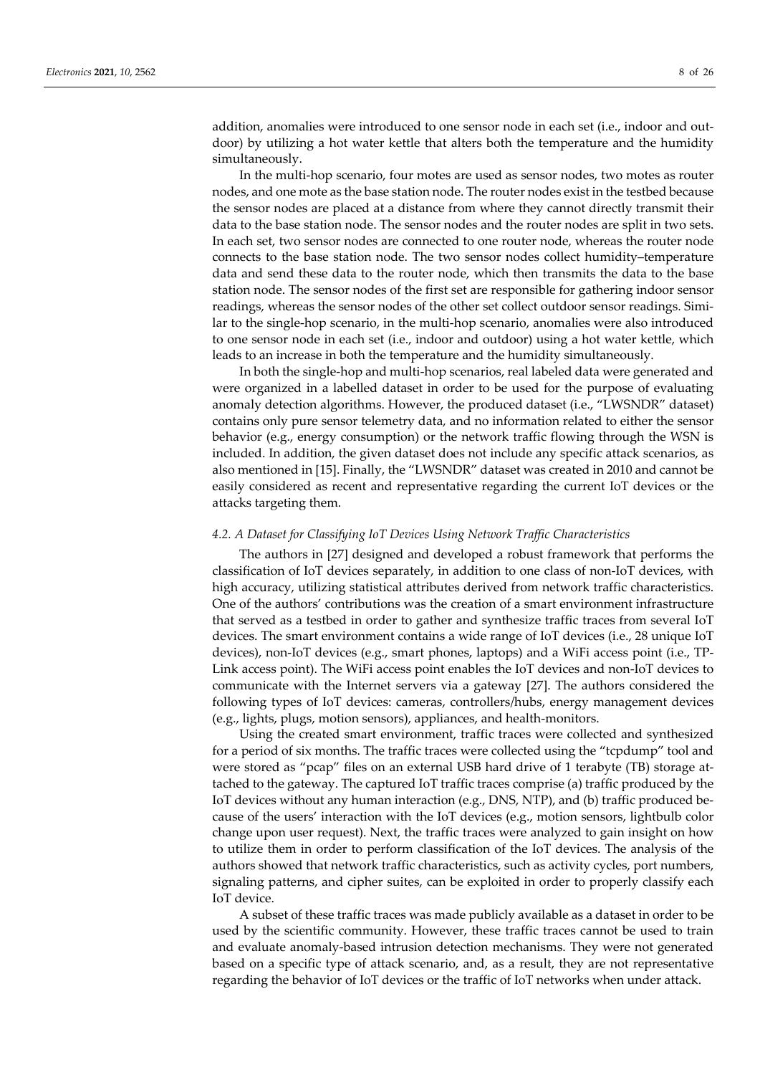addition, anomalies were introduced to one sensor node in each set (i.e., indoor and outdoor) by utilizing a hot water kettle that alters both the temperature and the humidity simultaneously.

In the multi-hop scenario, four motes are used as sensor nodes, two motes as router nodes, and one mote as the base station node. The router nodes exist in the testbed because the sensor nodes are placed at a distance from where they cannot directly transmit their data to the base station node. The sensor nodes and the router nodes are split in two sets. In each set, two sensor nodes are connected to one router node, whereas the router node connects to the base station node. The two sensor nodes collect humidity–temperature data and send these data to the router node, which then transmits the data to the base station node. The sensor nodes of the first set are responsible for gathering indoor sensor readings, whereas the sensor nodes of the other set collect outdoor sensor readings. Similar to the single-hop scenario, in the multi-hop scenario, anomalies were also introduced to one sensor node in each set (i.e., indoor and outdoor) using a hot water kettle, which leads to an increase in both the temperature and the humidity simultaneously.

In both the single-hop and multi-hop scenarios, real labeled data were generated and were organized in a labelled dataset in order to be used for the purpose of evaluating anomaly detection algorithms. However, the produced dataset (i.e., "LWSNDR" dataset) contains only pure sensor telemetry data, and no information related to either the sensor behavior (e.g., energy consumption) or the network traffic flowing through the WSN is included. In addition, the given dataset does not include any specific attack scenarios, as also mentioned in [15]. Finally, the "LWSNDR" dataset was created in 2010 and cannot be easily considered as recent and representative regarding the current IoT devices or the attacks targeting them.

#### *4.2. A Dataset for Classifying IoT Devices Using Network Traffic Characteristics*

The authors in [27] designed and developed a robust framework that performs the classification of IoT devices separately, in addition to one class of non-IoT devices, with high accuracy, utilizing statistical attributes derived from network traffic characteristics. One of the authors' contributions was the creation of a smart environment infrastructure that served as a testbed in order to gather and synthesize traffic traces from several IoT devices. The smart environment contains a wide range of IoT devices (i.e., 28 unique IoT devices), non-IoT devices (e.g., smart phones, laptops) and a WiFi access point (i.e., TP-Link access point). The WiFi access point enables the IoT devices and non-IoT devices to communicate with the Internet servers via a gateway [27]. The authors considered the following types of IoT devices: cameras, controllers/hubs, energy management devices (e.g., lights, plugs, motion sensors), appliances, and health-monitors.

Using the created smart environment, traffic traces were collected and synthesized for a period of six months. The traffic traces were collected using the "tcpdump" tool and were stored as "pcap" files on an external USB hard drive of 1 terabyte (TB) storage attached to the gateway. The captured IoT traffic traces comprise (a) traffic produced by the IoT devices without any human interaction (e.g., DNS, NTP), and (b) traffic produced because of the users' interaction with the IoT devices (e.g., motion sensors, lightbulb color change upon user request). Next, the traffic traces were analyzed to gain insight on how to utilize them in order to perform classification of the IoT devices. The analysis of the authors showed that network traffic characteristics, such as activity cycles, port numbers, signaling patterns, and cipher suites, can be exploited in order to properly classify each IoT device.

A subset of these traffic traces was made publicly available as a dataset in order to be used by the scientific community. However, these traffic traces cannot be used to train and evaluate anomaly-based intrusion detection mechanisms. They were not generated based on a specific type of attack scenario, and, as a result, they are not representative regarding the behavior of IoT devices or the traffic of IoT networks when under attack.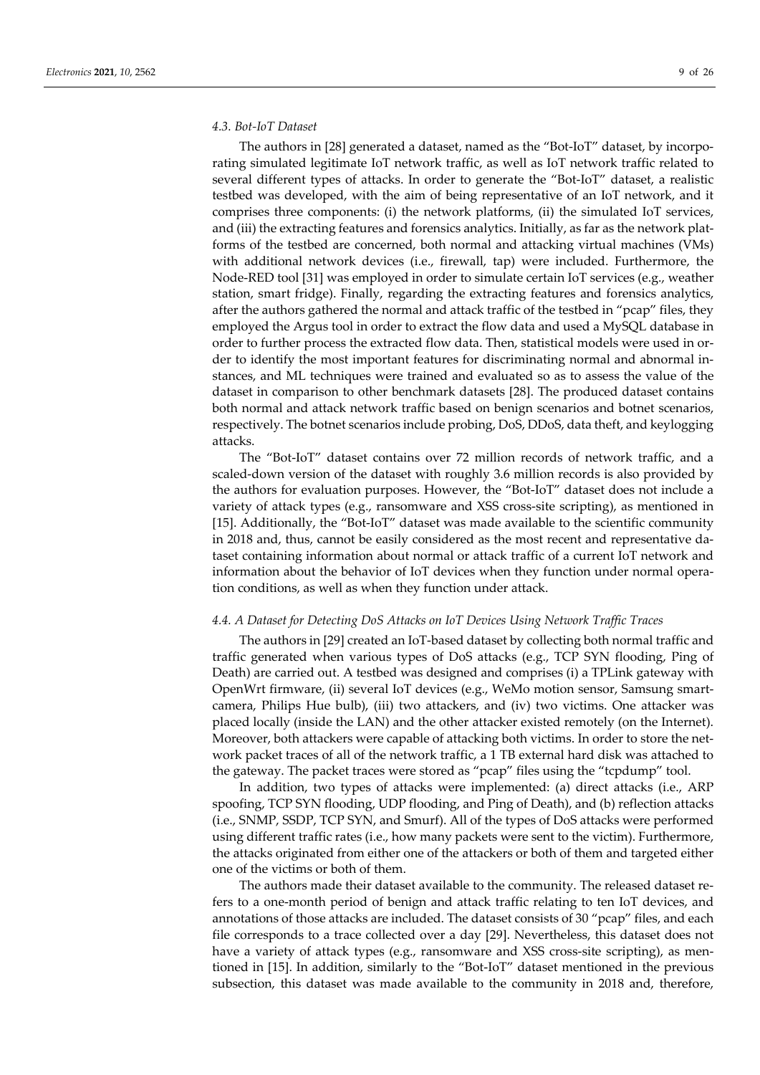#### *4.3. Bot-IoT Dataset*

The authors in [28] generated a dataset, named as the "Bot-IoT" dataset, by incorporating simulated legitimate IoT network traffic, as well as IoT network traffic related to several different types of attacks. In order to generate the "Bot-IoT" dataset, a realistic testbed was developed, with the aim of being representative of an IoT network, and it comprises three components: (i) the network platforms, (ii) the simulated IoT services, and (iii) the extracting features and forensics analytics. Initially, as far as the network platforms of the testbed are concerned, both normal and attacking virtual machines (VMs) with additional network devices (i.e., firewall, tap) were included. Furthermore, the Node-RED tool [31] was employed in order to simulate certain IoT services (e.g., weather station, smart fridge). Finally, regarding the extracting features and forensics analytics, after the authors gathered the normal and attack traffic of the testbed in "pcap" files, they employed the Argus tool in order to extract the flow data and used a MySQL database in order to further process the extracted flow data. Then, statistical models were used in order to identify the most important features for discriminating normal and abnormal instances, and ML techniques were trained and evaluated so as to assess the value of the dataset in comparison to other benchmark datasets [28]. The produced dataset contains both normal and attack network traffic based on benign scenarios and botnet scenarios, respectively. The botnet scenarios include probing, DoS, DDoS, data theft, and keylogging attacks.

The "Bot-IoT" dataset contains over 72 million records of network traffic, and a scaled-down version of the dataset with roughly 3.6 million records is also provided by the authors for evaluation purposes. However, the "Bot-IoT" dataset does not include a variety of attack types (e.g., ransomware and XSS cross-site scripting), as mentioned in [15]. Additionally, the "Bot-IoT" dataset was made available to the scientific community in 2018 and, thus, cannot be easily considered as the most recent and representative dataset containing information about normal or attack traffic of a current IoT network and information about the behavior of IoT devices when they function under normal operation conditions, as well as when they function under attack.

#### *4.4. A Dataset for Detecting DoS Attacks on IoT Devices Using Network Traffic Traces*

The authors in [29] created an IoT-based dataset by collecting both normal traffic and traffic generated when various types of DoS attacks (e.g., TCP SYN flooding, Ping of Death) are carried out. A testbed was designed and comprises (i) a TPLink gateway with OpenWrt firmware, (ii) several IoT devices (e.g., WeMo motion sensor, Samsung smartcamera, Philips Hue bulb), (iii) two attackers, and (iv) two victims. One attacker was placed locally (inside the LAN) and the other attacker existed remotely (on the Internet). Moreover, both attackers were capable of attacking both victims. In order to store the network packet traces of all of the network traffic, a 1 TB external hard disk was attached to the gateway. The packet traces were stored as "pcap" files using the "tcpdump" tool.

In addition, two types of attacks were implemented: (a) direct attacks (i.e., ARP spoofing, TCP SYN flooding, UDP flooding, and Ping of Death), and (b) reflection attacks (i.e., SNMP, SSDP, TCP SYN, and Smurf). All of the types of DoS attacks were performed using different traffic rates (i.e., how many packets were sent to the victim). Furthermore, the attacks originated from either one of the attackers or both of them and targeted either one of the victims or both of them.

The authors made their dataset available to the community. The released dataset refers to a one-month period of benign and attack traffic relating to ten IoT devices, and annotations of those attacks are included. The dataset consists of 30 "pcap" files, and each file corresponds to a trace collected over a day [29]. Nevertheless, this dataset does not have a variety of attack types (e.g., ransomware and XSS cross-site scripting), as mentioned in [15]. In addition, similarly to the "Bot-IoT" dataset mentioned in the previous subsection, this dataset was made available to the community in 2018 and, therefore,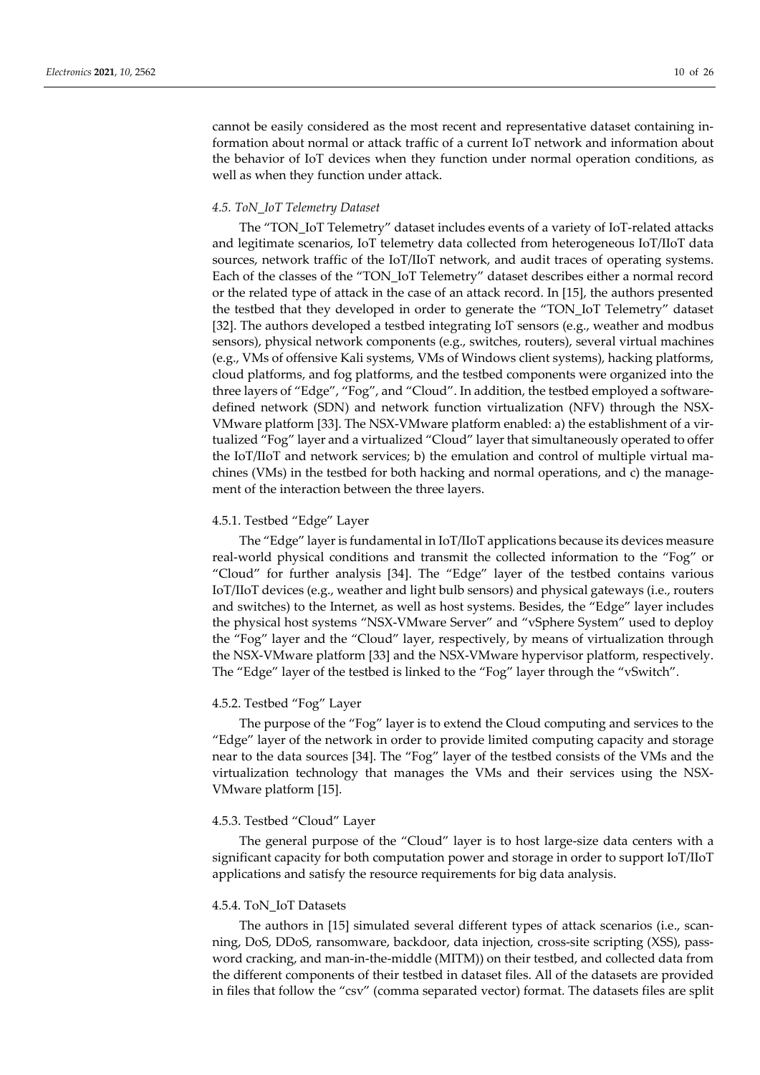cannot be easily considered as the most recent and representative dataset containing information about normal or attack traffic of a current IoT network and information about the behavior of IoT devices when they function under normal operation conditions, as well as when they function under attack.

#### *4.5. ToN\_IoT Telemetry Dataset*

The "TON\_IoT Telemetry" dataset includes events of a variety of IoT-related attacks and legitimate scenarios, IoT telemetry data collected from heterogeneous IoT/IIoT data sources, network traffic of the IoT/IIoT network, and audit traces of operating systems. Each of the classes of the "TON\_IoT Telemetry" dataset describes either a normal record or the related type of attack in the case of an attack record. In [15], the authors presented the testbed that they developed in order to generate the "TON\_IoT Telemetry" dataset [32]. The authors developed a testbed integrating IoT sensors (e.g., weather and modbus sensors), physical network components (e.g., switches, routers), several virtual machines (e.g., VMs of offensive Kali systems, VMs of Windows client systems), hacking platforms, cloud platforms, and fog platforms, and the testbed components were organized into the three layers of "Edge", "Fog", and "Cloud". In addition, the testbed employed a softwaredefined network (SDN) and network function virtualization (NFV) through the NSX-VMware platform [33]. The NSX-VMware platform enabled: a) the establishment of a virtualized "Fog" layer and a virtualized "Cloud" layer that simultaneously operated to offer the IoT/IIoT and network services; b) the emulation and control of multiple virtual machines (VMs) in the testbed for both hacking and normal operations, and c) the management of the interaction between the three layers.

#### 4.5.1. Testbed "Edge" Layer

The "Edge" layer is fundamental in IoT/IIoT applications because its devices measure real-world physical conditions and transmit the collected information to the "Fog" or "Cloud" for further analysis [34]. The "Edge" layer of the testbed contains various IoT/IIoT devices (e.g., weather and light bulb sensors) and physical gateways (i.e., routers and switches) to the Internet, as well as host systems. Besides, the "Edge" layer includes the physical host systems "NSX-VMware Server" and "vSphere System" used to deploy the "Fog" layer and the "Cloud" layer, respectively, by means of virtualization through the NSX-VMware platform [33] and the NSX-VMware hypervisor platform, respectively. The "Edge" layer of the testbed is linked to the "Fog" layer through the "vSwitch".

#### 4.5.2. Testbed "Fog" Layer

The purpose of the "Fog" layer is to extend the Cloud computing and services to the "Edge" layer of the network in order to provide limited computing capacity and storage near to the data sources [34]. The "Fog" layer of the testbed consists of the VMs and the virtualization technology that manages the VMs and their services using the NSX-VMware platform [15].

#### 4.5.3. Testbed "Cloud" Layer

The general purpose of the "Cloud" layer is to host large-size data centers with a significant capacity for both computation power and storage in order to support IoT/IIoT applications and satisfy the resource requirements for big data analysis.

#### 4.5.4. ToN\_IoT Datasets

The authors in [15] simulated several different types of attack scenarios (i.e., scanning, DoS, DDoS, ransomware, backdoor, data injection, cross-site scripting (XSS), password cracking, and man-in-the-middle (MITM)) on their testbed, and collected data from the different components of their testbed in dataset files. All of the datasets are provided in files that follow the "csv" (comma separated vector) format. The datasets files are split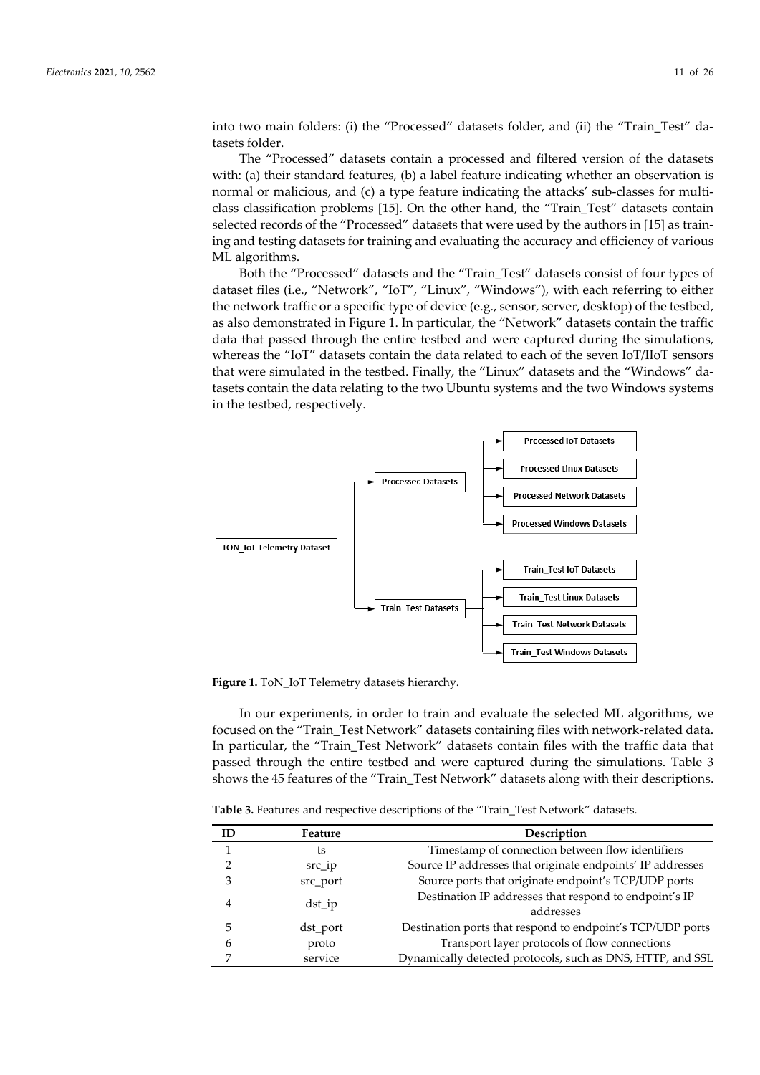into two main folders: (i) the "Processed" datasets folder, and (ii) the "Train\_Test" datasets folder.

The "Processed" datasets contain a processed and filtered version of the datasets with: (a) their standard features, (b) a label feature indicating whether an observation is normal or malicious, and (c) a type feature indicating the attacks' sub-classes for multiclass classification problems [15]. On the other hand, the "Train\_Test" datasets contain selected records of the "Processed" datasets that were used by the authors in [15] as training and testing datasets for training and evaluating the accuracy and efficiency of various ML algorithms.

Both the "Processed" datasets and the "Train\_Test" datasets consist of four types of dataset files (i.e., "Network", "IoT", "Linux", "Windows"), with each referring to either the network traffic or a specific type of device (e.g., sensor, server, desktop) of the testbed, as also demonstrated in Figure 1. In particular, the "Network" datasets contain the traffic data that passed through the entire testbed and were captured during the simulations, whereas the "IoT" datasets contain the data related to each of the seven IoT/IIoT sensors that were simulated in the testbed. Finally, the "Linux" datasets and the "Windows" datasets contain the data relating to the two Ubuntu systems and the two Windows systems in the testbed, respectively.



**Figure 1.** ToN\_IoT Telemetry datasets hierarchy.

In our experiments, in order to train and evaluate the selected ML algorithms, we focused on the "Train\_Test Network" datasets containing files with network-related data. In particular, the "Train\_Test Network" datasets contain files with the traffic data that passed through the entire testbed and were captured during the simulations. Table 3 shows the 45 features of the "Train\_Test Network" datasets along with their descriptions.

**Table 3.** Features and respective descriptions of the "Train\_Test Network" datasets.

|   | Feature  | Description                                                         |
|---|----------|---------------------------------------------------------------------|
|   | ts       | Timestamp of connection between flow identifiers                    |
|   | $src$ ip | Source IP addresses that originate endpoints' IP addresses          |
| 3 | src_port | Source ports that originate endpoint's TCP/UDP ports                |
| 4 | $dst_i$  | Destination IP addresses that respond to endpoint's IP<br>addresses |
| 5 | dst_port | Destination ports that respond to endpoint's TCP/UDP ports          |
| h | proto    | Transport layer protocols of flow connections                       |
|   | service  | Dynamically detected protocols, such as DNS, HTTP, and SSL          |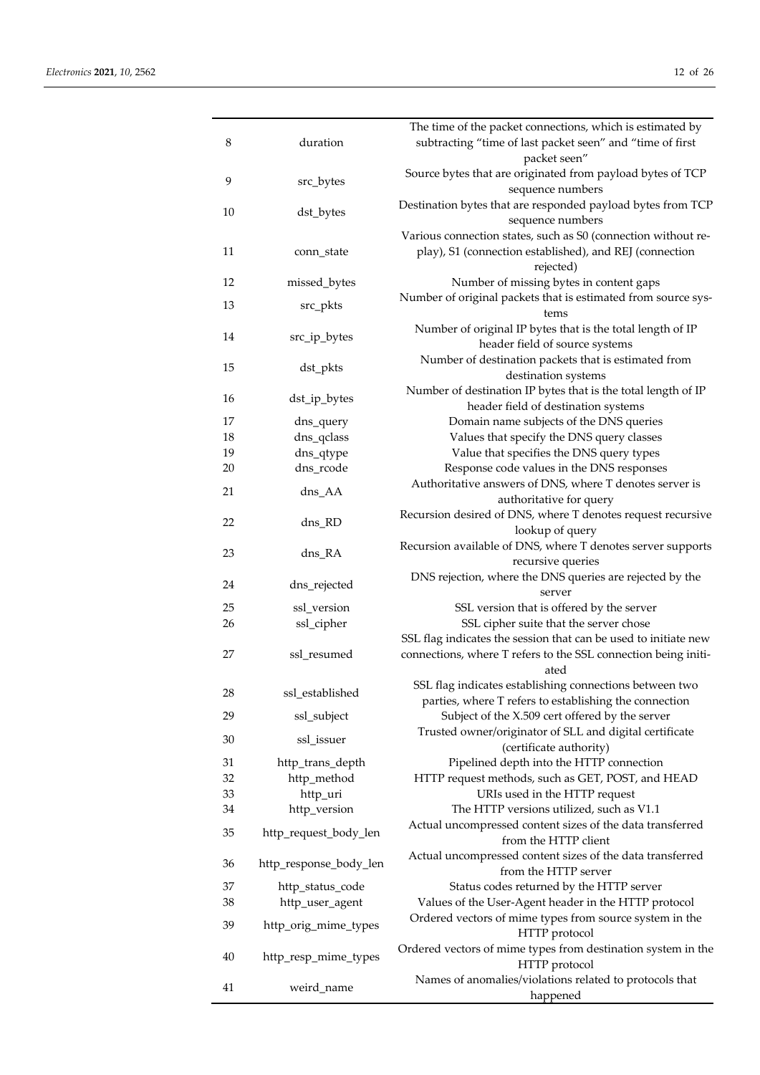| 8  | duration               | The time of the packet connections, which is estimated by<br>subtracting "time of last packet seen" and "time of first<br>packet seen" |
|----|------------------------|----------------------------------------------------------------------------------------------------------------------------------------|
| 9  | src_bytes              | Source bytes that are originated from payload bytes of TCP<br>sequence numbers                                                         |
| 10 | dst_bytes              | Destination bytes that are responded payload bytes from TCP<br>sequence numbers                                                        |
| 11 | conn_state             | Various connection states, such as S0 (connection without re-<br>play), S1 (connection established), and REJ (connection               |
| 12 | missed_bytes           | rejected)<br>Number of missing bytes in content gaps                                                                                   |
| 13 | src_pkts               | Number of original packets that is estimated from source sys-<br>tems                                                                  |
| 14 | src_ip_bytes           | Number of original IP bytes that is the total length of IP<br>header field of source systems                                           |
| 15 | dst_pkts               | Number of destination packets that is estimated from<br>destination systems                                                            |
| 16 | dst_ip_bytes           | Number of destination IP bytes that is the total length of IP<br>header field of destination systems                                   |
| 17 | dns_query              | Domain name subjects of the DNS queries                                                                                                |
| 18 | dns_qclass             | Values that specify the DNS query classes                                                                                              |
| 19 | dns_qtype              | Value that specifies the DNS query types                                                                                               |
| 20 | dns_rcode              | Response code values in the DNS responses                                                                                              |
| 21 | dns_AA                 | Authoritative answers of DNS, where T denotes server is<br>authoritative for query                                                     |
| 22 | dns_RD                 | Recursion desired of DNS, where T denotes request recursive<br>lookup of query                                                         |
| 23 | dns_RA                 | Recursion available of DNS, where T denotes server supports<br>recursive queries                                                       |
| 24 | dns_rejected           | DNS rejection, where the DNS queries are rejected by the<br>server                                                                     |
| 25 | ssl_version            | SSL version that is offered by the server                                                                                              |
| 26 | ssl_cipher             | SSL cipher suite that the server chose                                                                                                 |
|    |                        | SSL flag indicates the session that can be used to initiate new                                                                        |
| 27 | ssl_resumed            | connections, where T refers to the SSL connection being initi-<br>ated                                                                 |
| 28 | ssl_established        | SSL flag indicates establishing connections between two                                                                                |
|    |                        | parties, where T refers to establishing the connection                                                                                 |
| 29 | ssl_subject            | Subject of the X.509 cert offered by the server                                                                                        |
| 30 | ssl_issuer             | Trusted owner/originator of SLL and digital certificate<br>(certificate authority)                                                     |
| 31 | http_trans_depth       | Pipelined depth into the HTTP connection                                                                                               |
| 32 | http_method            | HTTP request methods, such as GET, POST, and HEAD                                                                                      |
| 33 | http_uri               | URIs used in the HTTP request                                                                                                          |
| 34 | http_version           | The HTTP versions utilized, such as V1.1                                                                                               |
| 35 | http_request_body_len  | Actual uncompressed content sizes of the data transferred<br>from the HTTP client                                                      |
| 36 | http_response_body_len | Actual uncompressed content sizes of the data transferred<br>from the HTTP server                                                      |
| 37 | http_status_code       | Status codes returned by the HTTP server                                                                                               |
| 38 | http_user_agent        | Values of the User-Agent header in the HTTP protocol                                                                                   |
| 39 | http_orig_mime_types   | Ordered vectors of mime types from source system in the<br>HTTP protocol                                                               |
| 40 | http_resp_mime_types   | Ordered vectors of mime types from destination system in the<br>HTTP protocol                                                          |
| 41 | weird_name             | Names of anomalies/violations related to protocols that<br>happened                                                                    |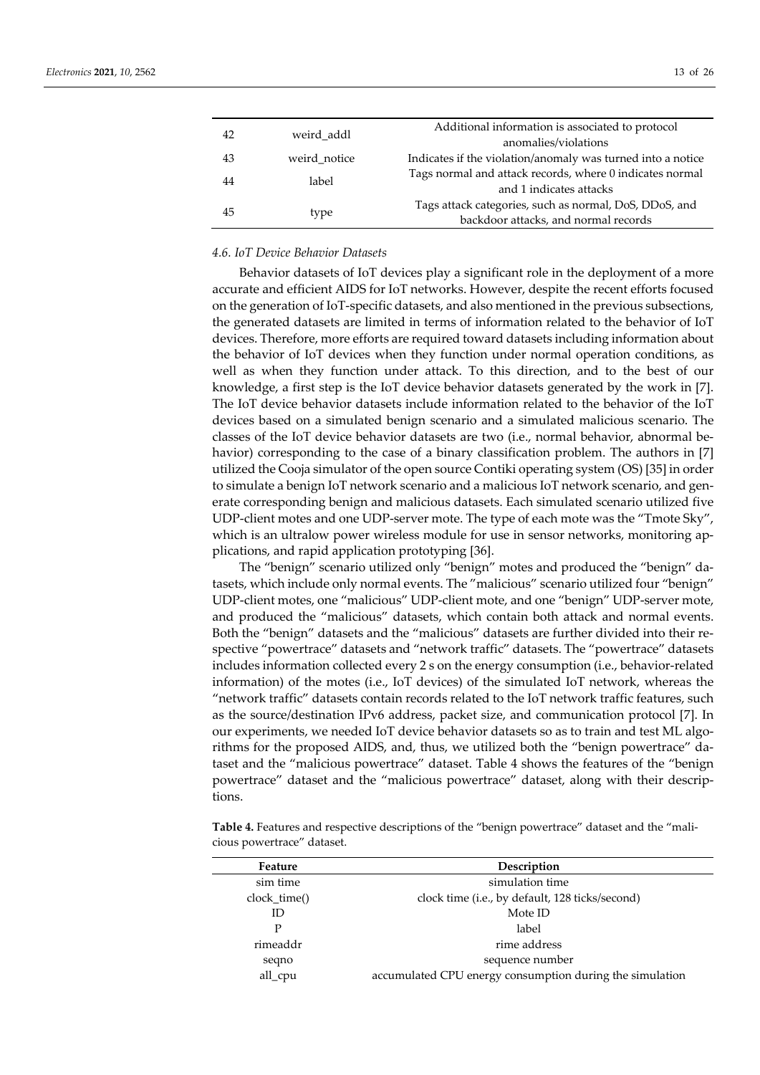| 42 | weird addl   | Additional information is associated to protocol<br>anomalies/violations                       |
|----|--------------|------------------------------------------------------------------------------------------------|
| 43 | weird notice | Indicates if the violation/anomaly was turned into a notice                                    |
| 44 | label        | Tags normal and attack records, where 0 indicates normal<br>and 1 indicates attacks            |
| 45 | type         | Tags attack categories, such as normal, DoS, DDoS, and<br>backdoor attacks, and normal records |

### *4.6. IoT Device Behavior Datasets*

Behavior datasets of IoT devices play a significant role in the deployment of a more accurate and efficient AIDS for IoT networks. However, despite the recent efforts focused on the generation of IoT-specific datasets, and also mentioned in the previous subsections, the generated datasets are limited in terms of information related to the behavior of IoT devices. Therefore, more efforts are required toward datasets including information about the behavior of IoT devices when they function under normal operation conditions, as well as when they function under attack. To this direction, and to the best of our knowledge, a first step is the IoT device behavior datasets generated by the work in [7]. The IoT device behavior datasets include information related to the behavior of the IoT devices based on a simulated benign scenario and a simulated malicious scenario. The classes of the IoT device behavior datasets are two (i.e., normal behavior, abnormal behavior) corresponding to the case of a binary classification problem. The authors in [7] utilized the Cooja simulator of the open source Contiki operating system (OS) [35] in order to simulate a benign IoT network scenario and a malicious IoT network scenario, and generate corresponding benign and malicious datasets. Each simulated scenario utilized five UDP-client motes and one UDP-server mote. The type of each mote was the "Tmote Sky", which is an ultralow power wireless module for use in sensor networks, monitoring applications, and rapid application prototyping [36].

The "benign" scenario utilized only "benign" motes and produced the "benign" datasets, which include only normal events. The "malicious" scenario utilized four "benign" UDP-client motes, one "malicious" UDP-client mote, and one "benign" UDP-server mote, and produced the "malicious" datasets, which contain both attack and normal events. Both the "benign" datasets and the "malicious" datasets are further divided into their respective "powertrace" datasets and "network traffic" datasets. The "powertrace" datasets includes information collected every 2 s on the energy consumption (i.e., behavior-related information) of the motes (i.e., IoT devices) of the simulated IoT network, whereas the "network traffic" datasets contain records related to the IoT network traffic features, such as the source/destination IPv6 address, packet size, and communication protocol [7]. In our experiments, we needed IoT device behavior datasets so as to train and test ML algorithms for the proposed AIDS, and, thus, we utilized both the "benign powertrace" dataset and the "malicious powertrace" dataset. Table 4 shows the features of the "benign powertrace" dataset and the "malicious powertrace" dataset, along with their descriptions.

**Table 4.** Features and respective descriptions of the "benign powertrace" dataset and the "malicious powertrace" dataset.

| Feature      | Description                                              |
|--------------|----------------------------------------------------------|
| sim time     | simulation time                                          |
| clock time() | clock time (i.e., by default, 128 ticks/second)          |
| ID           | Mote ID                                                  |
| P            | label                                                    |
| rimeaddr     | rime address                                             |
| seqno        | sequence number                                          |
| all_cpu      | accumulated CPU energy consumption during the simulation |
|              |                                                          |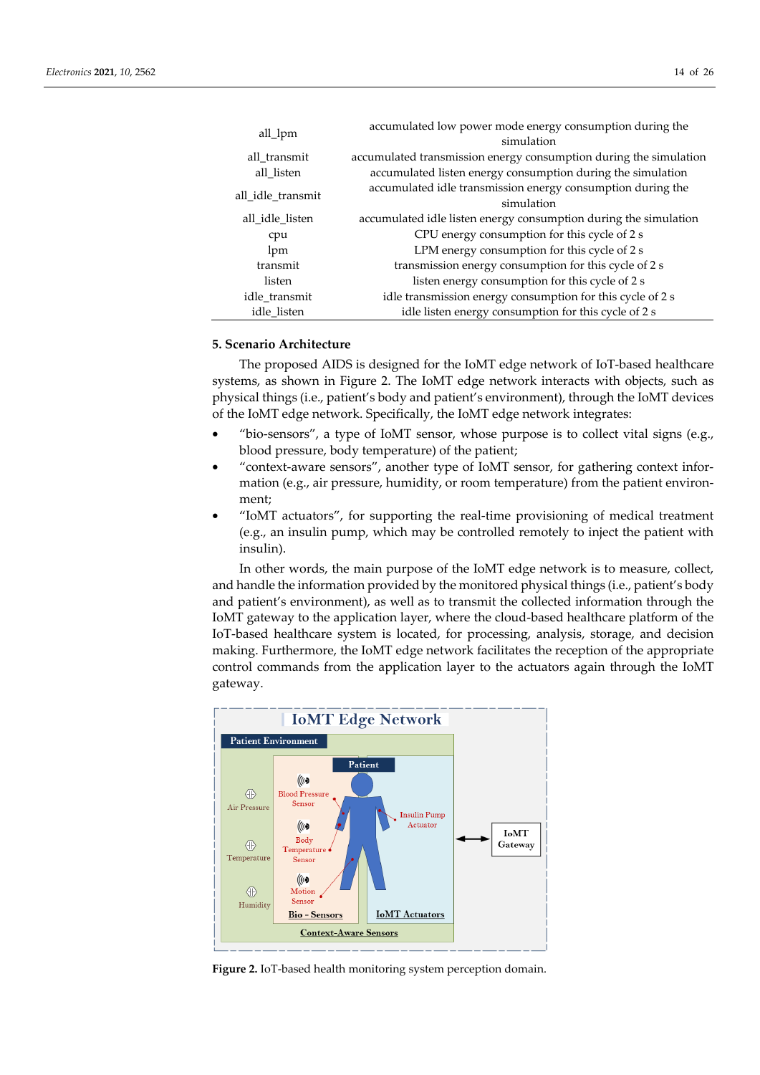| all_lpm           | accumulated low power mode energy consumption during the          |
|-------------------|-------------------------------------------------------------------|
|                   | simulation                                                        |
| all transmit      | accumulated transmission energy consumption during the simulation |
| all listen        | accumulated listen energy consumption during the simulation       |
|                   | accumulated idle transmission energy consumption during the       |
| all idle transmit | simulation                                                        |
| all idle listen   | accumulated idle listen energy consumption during the simulation  |
| cpu               | CPU energy consumption for this cycle of 2 s                      |
| lpm               | LPM energy consumption for this cycle of 2 s                      |
| transmit          | transmission energy consumption for this cycle of 2 s             |
| listen            | listen energy consumption for this cycle of 2 s                   |
| idle transmit     | idle transmission energy consumption for this cycle of 2 s        |
| idle_listen       | idle listen energy consumption for this cycle of 2 s              |

## **5. Scenario Architecture**

The proposed AIDS is designed for the IoMT edge network of IoT-based healthcare systems, as shown in Figure 2. The IoMT edge network interacts with objects, such as physical things (i.e., patient's body and patient's environment), through the IoMT devices of the IoMT edge network. Specifically, the IoMT edge network integrates:

- "bio-sensors", a type of IoMT sensor, whose purpose is to collect vital signs (e.g., blood pressure, body temperature) of the patient;
- "context-aware sensors", another type of IoMT sensor, for gathering context information (e.g., air pressure, humidity, or room temperature) from the patient environment;
- "IoMT actuators", for supporting the real-time provisioning of medical treatment (e.g., an insulin pump, which may be controlled remotely to inject the patient with insulin).

In other words, the main purpose of the IoMT edge network is to measure, collect, and handle the information provided by the monitored physical things (i.e., patient's body and patient's environment), as well as to transmit the collected information through the IoMT gateway to the application layer, where the cloud-based healthcare platform of the IoT-based healthcare system is located, for processing, analysis, storage, and decision making. Furthermore, the IoMT edge network facilitates the reception of the appropriate control commands from the application layer to the actuators again through the IoMT gateway.



**Figure 2.** IoT-based health monitoring system perception domain.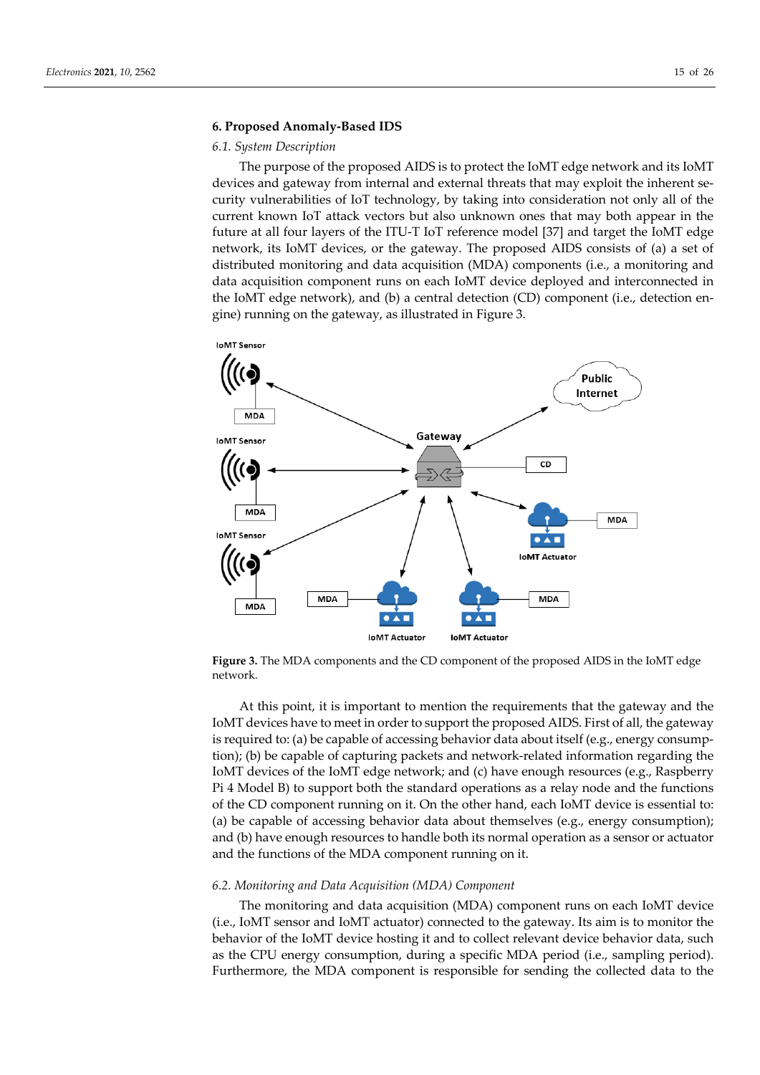#### **6. Proposed Anomaly-Based IDS**

#### *6.1. System Description*

The purpose of the proposed AIDS is to protect the IoMT edge network and its IoMT devices and gateway from internal and external threats that may exploit the inherent security vulnerabilities of IoT technology, by taking into consideration not only all of the current known IoT attack vectors but also unknown ones that may both appear in the future at all four layers of the ITU-T IoT reference model [37] and target the IoMT edge network, its IoMT devices, or the gateway. The proposed AIDS consists of (a) a set of distributed monitoring and data acquisition (MDA) components (i.e., a monitoring and data acquisition component runs on each IoMT device deployed and interconnected in the IoMT edge network), and (b) a central detection (CD) component (i.e., detection engine) running on the gateway, as illustrated in Figure 3.



**Figure 3.** The MDA components and the CD component of the proposed AIDS in the IoMT edge network.

At this point, it is important to mention the requirements that the gateway and the IoMT devices have to meet in order to support the proposed AIDS. First of all, the gateway is required to: (a) be capable of accessing behavior data about itself (e.g., energy consumption); (b) be capable of capturing packets and network-related information regarding the IoMT devices of the IoMT edge network; and (c) have enough resources (e.g., Raspberry Pi 4 Model B) to support both the standard operations as a relay node and the functions of the CD component running on it. On the other hand, each IoMT device is essential to: (a) be capable of accessing behavior data about themselves (e.g., energy consumption); and (b) have enough resources to handle both its normal operation as a sensor or actuator and the functions of the MDA component running on it.

#### *6.2. Monitoring and Data Acquisition (MDA) Component*

The monitoring and data acquisition (MDA) component runs on each IoMT device (i.e., IoMT sensor and IoMT actuator) connected to the gateway. Its aim is to monitor the behavior of the IoMT device hosting it and to collect relevant device behavior data, such as the CPU energy consumption, during a specific MDA period (i.e., sampling period). Furthermore, the MDA component is responsible for sending the collected data to the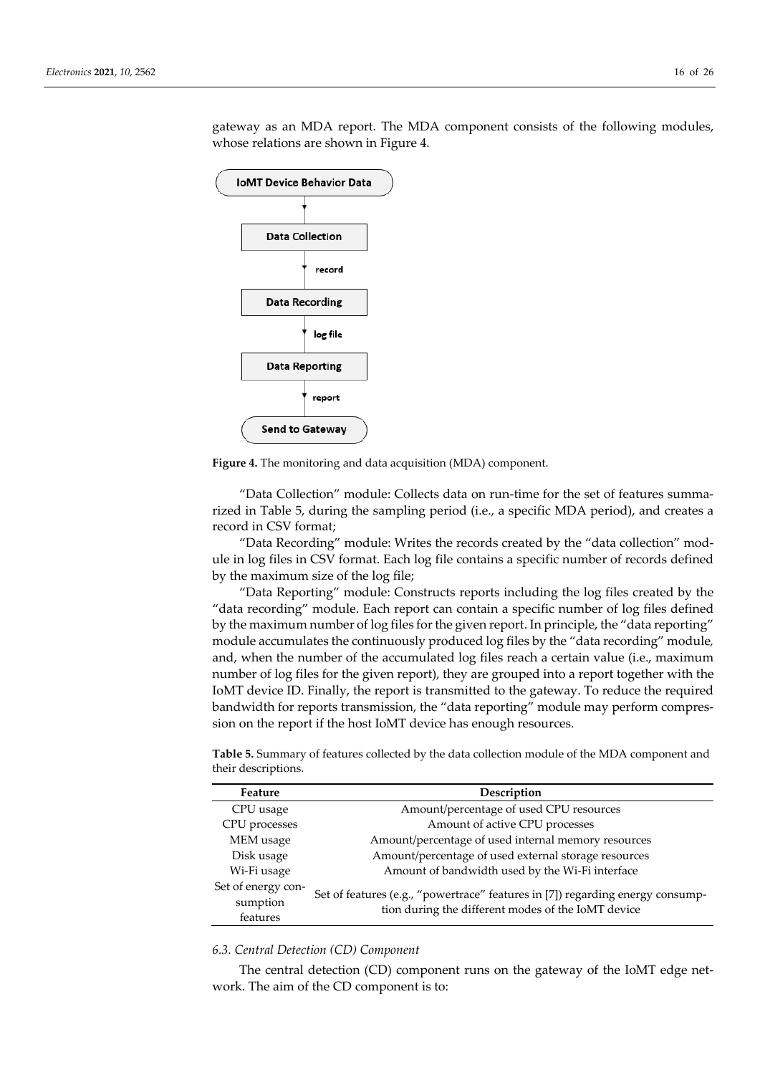

gateway as an MDA report. The MDA component consists of the following modules, whose relations are shown in Figure 4.

**Figure 4.** The monitoring and data acquisition (MDA) component.

"Data Collection" module: Collects data on run-time for the set of features summarized in Table 5, during the sampling period (i.e., a specific MDA period), and creates a record in CSV format;

"Data Recording" module: Writes the records created by the "data collection" module in log files in CSV format. Each log file contains a specific number of records defined by the maximum size of the log file;

"Data Reporting" module: Constructs reports including the log files created by the "data recording" module. Each report can contain a specific number of log files defined by the maximum number of log files for the given report. In principle, the "data reporting" module accumulates the continuously produced log files by the "data recording" module*,* and, when the number of the accumulated log files reach a certain value (i.e., maximum number of log files for the given report), they are grouped into a report together with the IoMT device ID. Finally, the report is transmitted to the gateway. To reduce the required bandwidth for reports transmission, the "data reporting" module may perform compression on the report if the host IoMT device has enough resources.

**Table 5.** Summary of features collected by the data collection module of the MDA component and their descriptions.

| Feature                                    | Description                                                                                                                          |
|--------------------------------------------|--------------------------------------------------------------------------------------------------------------------------------------|
| CPU usage                                  | Amount/percentage of used CPU resources                                                                                              |
| CPU processes                              | Amount of active CPU processes                                                                                                       |
| MEM usage                                  | Amount/percentage of used internal memory resources                                                                                  |
| Disk usage                                 | Amount/percentage of used external storage resources                                                                                 |
| Wi-Fi usage                                | Amount of bandwidth used by the Wi-Fi interface                                                                                      |
| Set of energy con-<br>sumption<br>features | Set of features (e.g., "powertrace" features in [7]) regarding energy consump-<br>tion during the different modes of the IoMT device |

#### *6.3. Central Detection (CD) Component*

The central detection (CD) component runs on the gateway of the IoMT edge network. The aim of the CD component is to: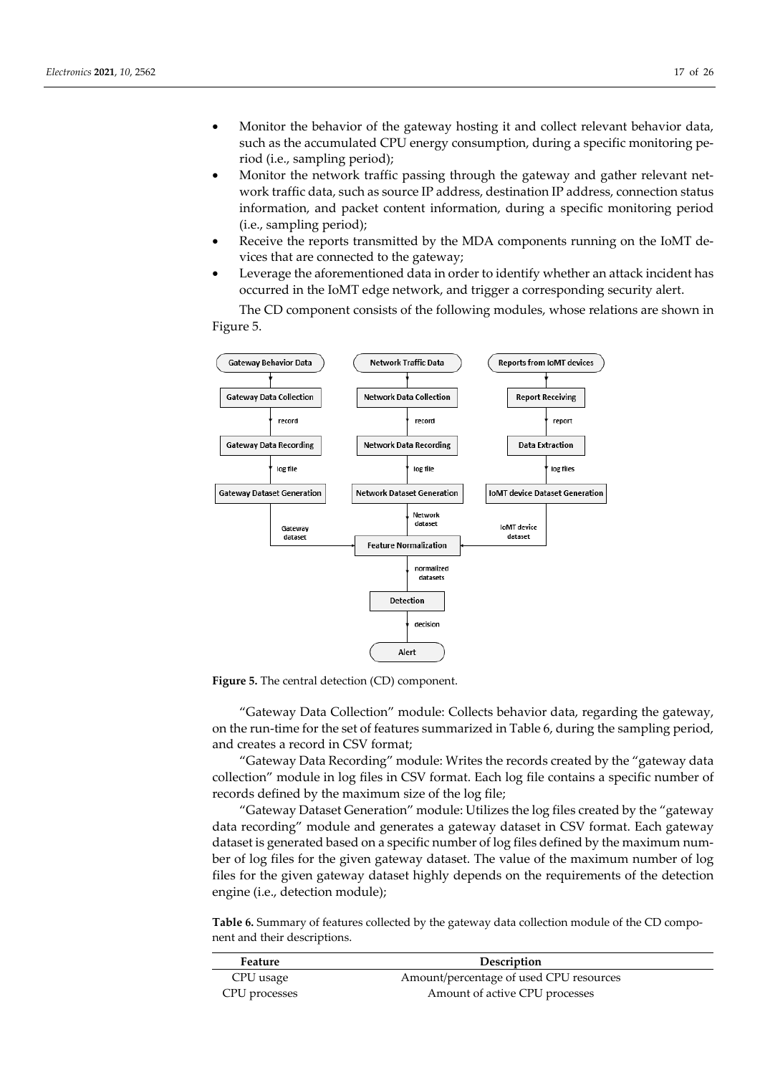- Monitor the behavior of the gateway hosting it and collect relevant behavior data, such as the accumulated CPU energy consumption, during a specific monitoring period (i.e., sampling period);
- Monitor the network traffic passing through the gateway and gather relevant network traffic data, such as source IP address, destination IP address, connection status information, and packet content information, during a specific monitoring period (i.e., sampling period);
- Receive the reports transmitted by the MDA components running on the IoMT devices that are connected to the gateway;
- Leverage the aforementioned data in order to identify whether an attack incident has occurred in the IoMT edge network, and trigger a corresponding security alert.

The CD component consists of the following modules, whose relations are shown in Figure 5.



**Figure 5.** The central detection (CD) component.

"Gateway Data Collection" module: Collects behavior data, regarding the gateway, on the run-time for the set of features summarized in Table 6, during the sampling period, and creates a record in CSV format;

"Gateway Data Recording" module: Writes the records created by the "gateway data collection" module in log files in CSV format. Each log file contains a specific number of records defined by the maximum size of the log file;

"Gateway Dataset Generation" module: Utilizes the log files created by the "gateway data recording" module and generates a gateway dataset in CSV format. Each gateway dataset is generated based on a specific number of log files defined by the maximum number of log files for the given gateway dataset. The value of the maximum number of log files for the given gateway dataset highly depends on the requirements of the detection engine (i.e., detection module);

**Table 6.** Summary of features collected by the gateway data collection module of the CD component and their descriptions.

| Feature       | Description                             |
|---------------|-----------------------------------------|
| CPU usage     | Amount/percentage of used CPU resources |
| CPU processes | Amount of active CPU processes          |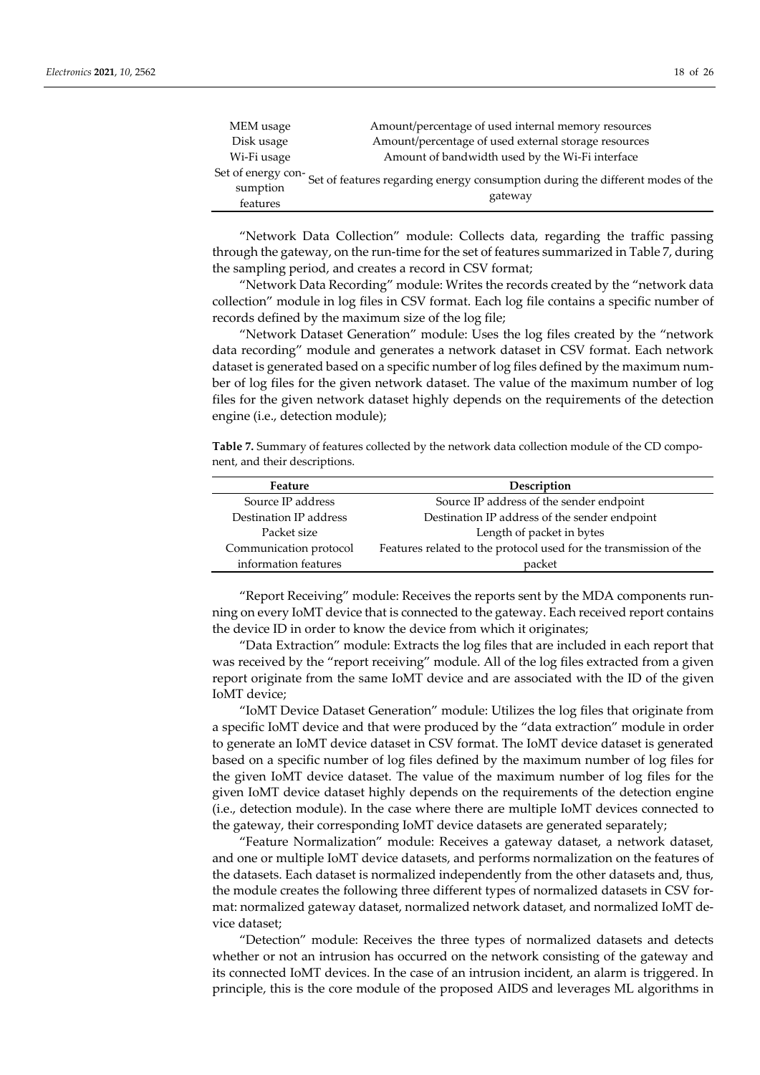| MEM usage          | Amount/percentage of used internal memory resources                            |
|--------------------|--------------------------------------------------------------------------------|
| Disk usage         | Amount/percentage of used external storage resources                           |
| Wi-Fi usage        | Amount of bandwidth used by the Wi-Fi interface                                |
| Set of energy con- |                                                                                |
| sumption           | Set of features regarding energy consumption during the different modes of the |
| features           | gateway                                                                        |

"Network Data Collection" module: Collects data, regarding the traffic passing through the gateway, on the run-time for the set of features summarized in Table 7, during the sampling period, and creates a record in CSV format;

"Network Data Recording" module: Writes the records created by the "network data collection" module in log files in CSV format. Each log file contains a specific number of records defined by the maximum size of the log file;

"Network Dataset Generation" module: Uses the log files created by the "network data recording" module and generates a network dataset in CSV format. Each network dataset is generated based on a specific number of log files defined by the maximum number of log files for the given network dataset. The value of the maximum number of log files for the given network dataset highly depends on the requirements of the detection engine (i.e., detection module);

**Table 7.** Summary of features collected by the network data collection module of the CD component, and their descriptions.

| Feature                | Description                                                       |
|------------------------|-------------------------------------------------------------------|
| Source IP address      | Source IP address of the sender endpoint                          |
| Destination IP address | Destination IP address of the sender endpoint                     |
| Packet size            | Length of packet in bytes                                         |
| Communication protocol | Features related to the protocol used for the transmission of the |
| information features   | packet                                                            |

"Report Receiving" module: Receives the reports sent by the MDA components running on every IoMT device that is connected to the gateway. Each received report contains the device ID in order to know the device from which it originates;

"Data Extraction" module: Extracts the log files that are included in each report that was received by the "report receiving" module. All of the log files extracted from a given report originate from the same IoMT device and are associated with the ID of the given IoMT device;

"IoMT Device Dataset Generation" module: Utilizes the log files that originate from a specific IoMT device and that were produced by the "data extraction" module in order to generate an IoMT device dataset in CSV format. The IoMT device dataset is generated based on a specific number of log files defined by the maximum number of log files for the given IoMT device dataset. The value of the maximum number of log files for the given IoMT device dataset highly depends on the requirements of the detection engine (i.e., detection module). In the case where there are multiple IoMT devices connected to the gateway, their corresponding IoMT device datasets are generated separately;

"Feature Normalization" module: Receives a gateway dataset, a network dataset, and one or multiple IoMT device datasets, and performs normalization on the features of the datasets. Each dataset is normalized independently from the other datasets and, thus, the module creates the following three different types of normalized datasets in CSV format: normalized gateway dataset, normalized network dataset, and normalized IoMT device dataset;

"Detection" module: Receives the three types of normalized datasets and detects whether or not an intrusion has occurred on the network consisting of the gateway and its connected IoMT devices. In the case of an intrusion incident, an alarm is triggered. In principle, this is the core module of the proposed AIDS and leverages ML algorithms in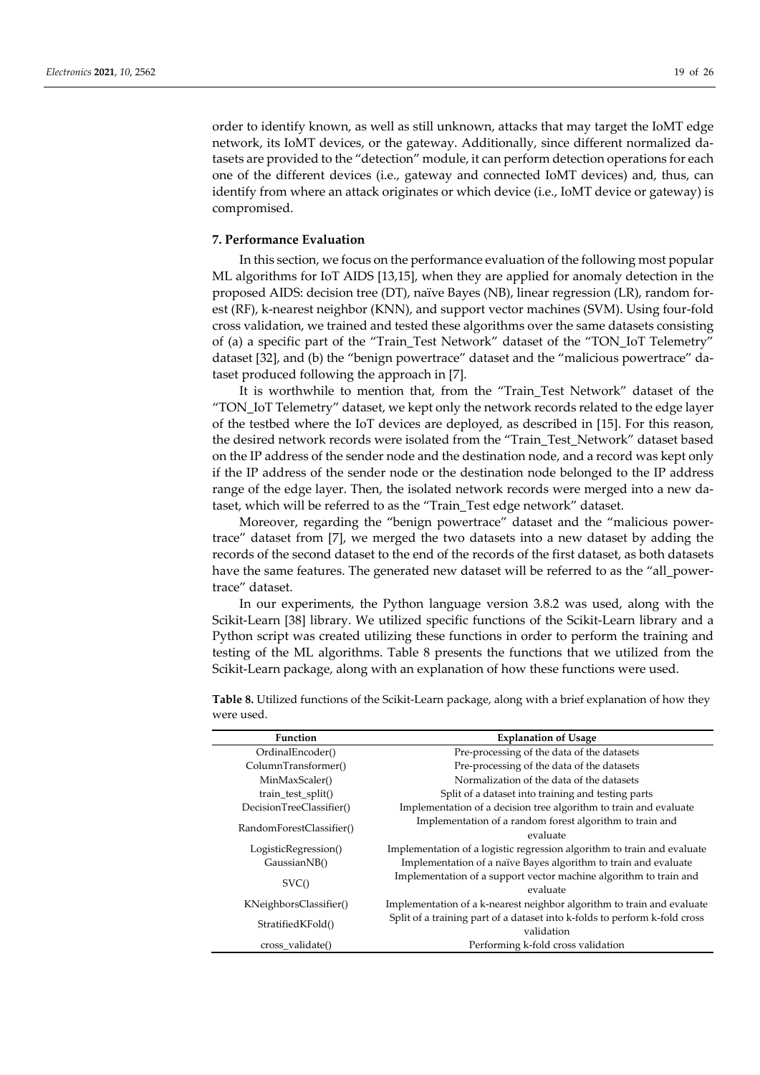order to identify known, as well as still unknown, attacks that may target the IoMT edge network, its IoMT devices, or the gateway. Additionally, since different normalized datasets are provided to the "detection" module, it can perform detection operations for each one of the different devices (i.e., gateway and connected IoMT devices) and, thus, can identify from where an attack originates or which device (i.e., IoMT device or gateway) is compromised.

#### **7. Performance Evaluation**

In this section, we focus on the performance evaluation of the following most popular ML algorithms for IoT AIDS [13,15], when they are applied for anomaly detection in the proposed AIDS: decision tree (DT), naïve Bayes (NB), linear regression (LR), random forest (RF), k-nearest neighbor (KNN), and support vector machines (SVM). Using four-fold cross validation, we trained and tested these algorithms over the same datasets consisting of (a) a specific part of the "Train\_Test Network" dataset of the "TON\_IoT Telemetry" dataset [32], and (b) the "benign powertrace" dataset and the "malicious powertrace" dataset produced following the approach in [7].

It is worthwhile to mention that, from the "Train\_Test Network" dataset of the "TON\_IoT Telemetry" dataset, we kept only the network records related to the edge layer of the testbed where the IoT devices are deployed, as described in [15]. For this reason, the desired network records were isolated from the "Train\_Test\_Network" dataset based on the IP address of the sender node and the destination node, and a record was kept only if the IP address of the sender node or the destination node belonged to the IP address range of the edge layer. Then, the isolated network records were merged into a new dataset, which will be referred to as the "Train\_Test edge network" dataset.

Moreover, regarding the "benign powertrace" dataset and the "malicious powertrace" dataset from [7], we merged the two datasets into a new dataset by adding the records of the second dataset to the end of the records of the first dataset, as both datasets have the same features. The generated new dataset will be referred to as the "all\_powertrace" dataset.

In our experiments, the Python language version 3.8.2 was used, along with the Scikit-Learn [38] library. We utilized specific functions of the Scikit-Learn library and a Python script was created utilizing these functions in order to perform the training and testing of the ML algorithms. Table 8 presents the functions that we utilized from the Scikit-Learn package, along with an explanation of how these functions were used.

| <b>Function</b>          | <b>Explanation of Usage</b>                                                |
|--------------------------|----------------------------------------------------------------------------|
| OrdinalEncoder()         | Pre-processing of the data of the datasets                                 |
| ColumnTransformer()      | Pre-processing of the data of the datasets                                 |
| MinMaxScaler()           | Normalization of the data of the datasets                                  |
| train test split()       | Split of a dataset into training and testing parts                         |
| DecisionTreeClassifier() | Implementation of a decision tree algorithm to train and evaluate          |
| RandomForestClassifier() | Implementation of a random forest algorithm to train and                   |
|                          | evaluate                                                                   |
| LogisticRegression()     | Implementation of a logistic regression algorithm to train and evaluate    |
| GaussianNB()             | Implementation of a naïve Bayes algorithm to train and evaluate            |
| SVC()                    | Implementation of a support vector machine algorithm to train and          |
|                          | evaluate                                                                   |
| KNeighborsClassifier()   | Implementation of a k-nearest neighbor algorithm to train and evaluate     |
| StratifiedKFold()        | Split of a training part of a dataset into k-folds to perform k-fold cross |
|                          | validation                                                                 |
| cross validate()         | Performing k-fold cross validation                                         |

**Table 8.** Utilized functions of the Scikit-Learn package, along with a brief explanation of how they were used.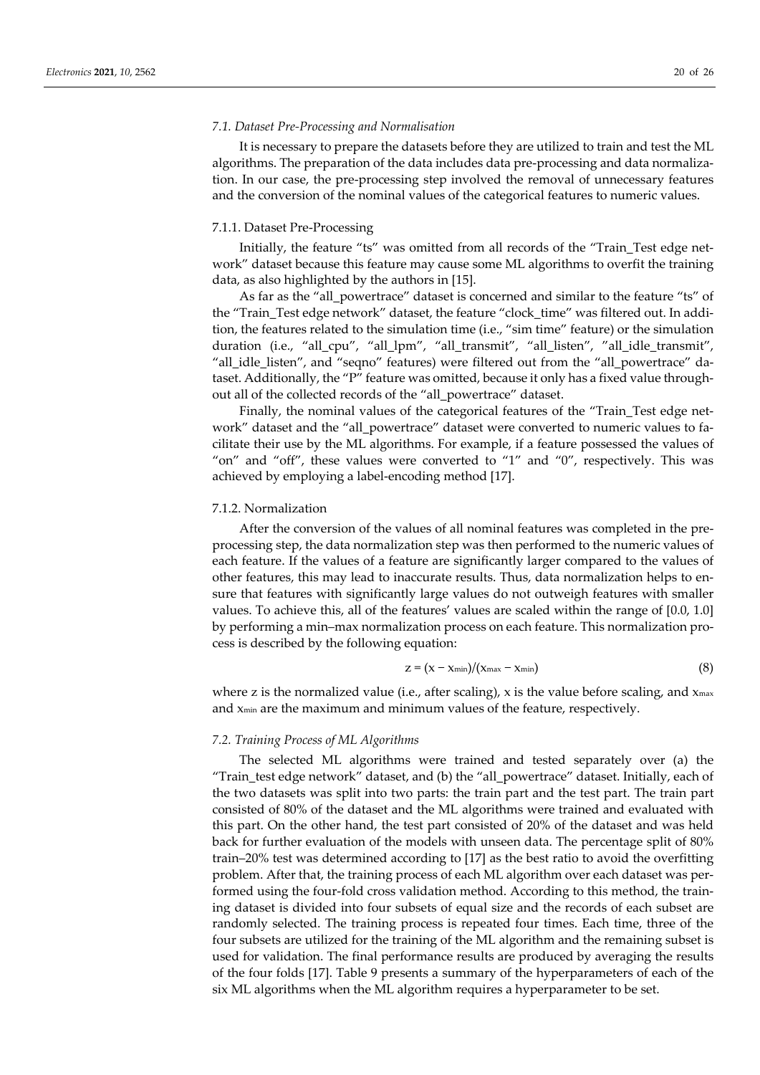#### *7.1. Dataset Pre-Processing and Normalisation*

It is necessary to prepare the datasets before they are utilized to train and test the ML algorithms. The preparation of the data includes data pre-processing and data normalization. In our case, the pre-processing step involved the removal of unnecessary features and the conversion of the nominal values of the categorical features to numeric values.

#### 7.1.1. Dataset Pre-Processing

Initially, the feature "ts" was omitted from all records of the "Train\_Test edge network" dataset because this feature may cause some ML algorithms to overfit the training data, as also highlighted by the authors in [15].

As far as the "all\_powertrace" dataset is concerned and similar to the feature "ts" of the "Train\_Test edge network" dataset, the feature "clock\_time" was filtered out. In addition, the features related to the simulation time (i.e., "sim time" feature) or the simulation duration (i.e., "all\_cpu", "all\_lpm", "all\_transmit", "all\_listen", "all\_idle\_transmit", "all\_idle\_listen", and "seqno" features) were filtered out from the "all\_powertrace" dataset. Additionally, the "P" feature was omitted, because it only has a fixed value throughout all of the collected records of the "all\_powertrace" dataset.

Finally, the nominal values of the categorical features of the "Train\_Test edge network" dataset and the "all\_powertrace" dataset were converted to numeric values to facilitate their use by the ML algorithms. For example, if a feature possessed the values of "on" and "off", these values were converted to "1" and "0", respectively. This was achieved by employing a label-encoding method [17].

#### 7.1.2. Normalization

After the conversion of the values of all nominal features was completed in the preprocessing step, the data normalization step was then performed to the numeric values of each feature. If the values of a feature are significantly larger compared to the values of other features, this may lead to inaccurate results. Thus, data normalization helps to ensure that features with significantly large values do not outweigh features with smaller values. To achieve this, all of the features' values are scaled within the range of [0.0, 1.0] by performing a min–max normalization process on each feature. This normalization process is described by the following equation:

$$
z = (x - x_{\min})/(x_{\max} - x_{\min})
$$
\n(8)

where z is the normalized value (i.e., after scaling),  $x$  is the value before scaling, and  $x_{\text{max}}$ and xmin are the maximum and minimum values of the feature, respectively.

#### *7.2. Training Process of ML Algorithms*

The selected ML algorithms were trained and tested separately over (a) the "Train\_test edge network" dataset, and (b) the "all\_powertrace" dataset. Initially, each of the two datasets was split into two parts: the train part and the test part. The train part consisted of 80% of the dataset and the ML algorithms were trained and evaluated with this part. On the other hand, the test part consisted of 20% of the dataset and was held back for further evaluation of the models with unseen data. The percentage split of 80% train–20% test was determined according to [17] as the best ratio to avoid the overfitting problem. After that, the training process of each ML algorithm over each dataset was performed using the four-fold cross validation method. According to this method, the training dataset is divided into four subsets of equal size and the records of each subset are randomly selected. The training process is repeated four times. Each time, three of the four subsets are utilized for the training of the ML algorithm and the remaining subset is used for validation. The final performance results are produced by averaging the results of the four folds [17]. Table 9 presents a summary of the hyperparameters of each of the six ML algorithms when the ML algorithm requires a hyperparameter to be set.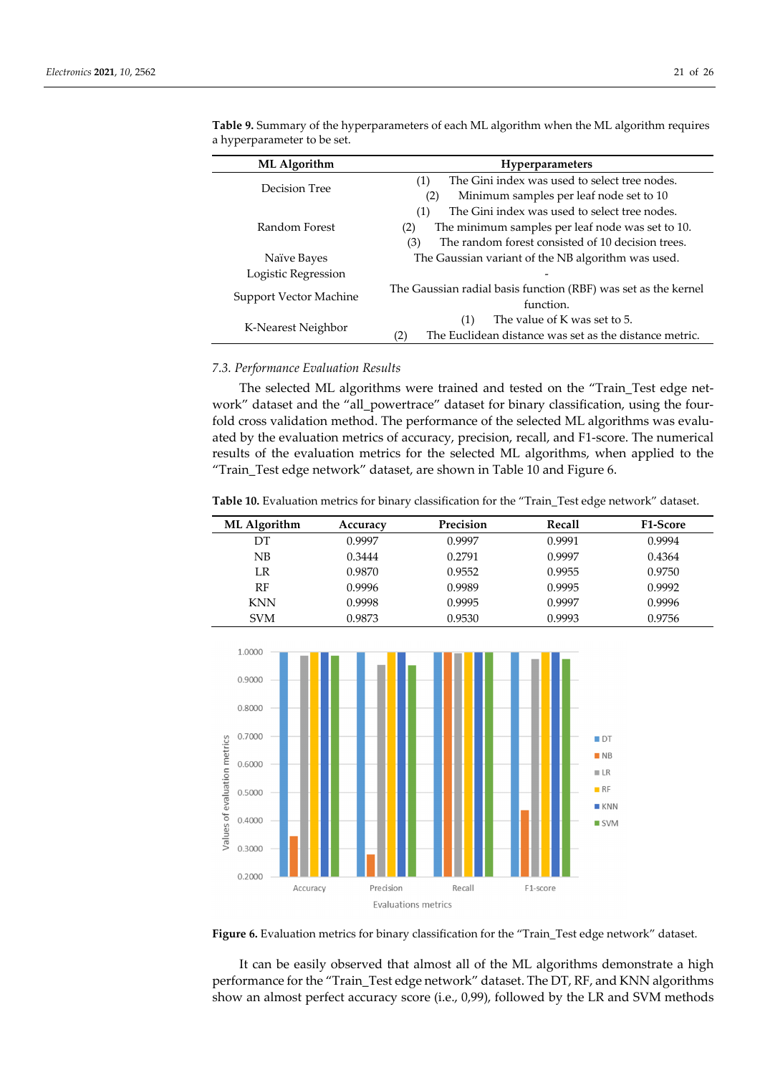| ML Algorithm           | <b>Hyperparameters</b>                                         |  |  |  |
|------------------------|----------------------------------------------------------------|--|--|--|
| Decision Tree          | The Gini index was used to select tree nodes.<br>(1)           |  |  |  |
|                        | Minimum samples per leaf node set to 10<br>(2)                 |  |  |  |
|                        | The Gini index was used to select tree nodes.<br>(1)           |  |  |  |
| Random Forest          | The minimum samples per leaf node was set to 10.<br>(2)        |  |  |  |
|                        | The random forest consisted of 10 decision trees.<br>(3)       |  |  |  |
| Naïve Bayes            | The Gaussian variant of the NB algorithm was used.             |  |  |  |
| Logistic Regression    |                                                                |  |  |  |
| Support Vector Machine | The Gaussian radial basis function (RBF) was set as the kernel |  |  |  |
|                        | function.                                                      |  |  |  |
| K-Nearest Neighbor     | The value of K was set to 5.<br>(1)                            |  |  |  |
|                        | The Euclidean distance was set as the distance metric.<br>(2)  |  |  |  |

**Table 9.** Summary of the hyperparameters of each ML algorithm when the ML algorithm requires a hyperparameter to be set.

## *7.3. Performance Evaluation Results*

The selected ML algorithms were trained and tested on the "Train\_Test edge network" dataset and the "all\_powertrace" dataset for binary classification, using the fourfold cross validation method. The performance of the selected ML algorithms was evaluated by the evaluation metrics of accuracy, precision, recall, and F1-score. The numerical results of the evaluation metrics for the selected ML algorithms, when applied to the "Train\_Test edge network" dataset, are shown in Table 10 and Figure 6.

**Table 10.** Evaluation metrics for binary classification for the "Train\_Test edge network" dataset.

| ML Algorithm | Accuracy | Precision | Recall | <b>F1-Score</b> |
|--------------|----------|-----------|--------|-----------------|
| DT           | 0.9997   | 0.9997    | 0.9991 | 0.9994          |
| NB           | 0.3444   | 0.2791    | 0.9997 | 0.4364          |
| LR           | 0.9870   | 0.9552    | 0.9955 | 0.9750          |
| RF           | 0.9996   | 0.9989    | 0.9995 | 0.9992          |
| <b>KNN</b>   | 0.9998   | 0.9995    | 0.9997 | 0.9996          |
| <b>SVM</b>   | 0.9873   | 0.9530    | 0.9993 | 0.9756          |



**Figure 6.** Evaluation metrics for binary classification for the "Train\_Test edge network" dataset.

It can be easily observed that almost all of the ML algorithms demonstrate a high performance for the "Train\_Test edge network" dataset. The DT, RF, and KNN algorithms show an almost perfect accuracy score (i.e., 0,99), followed by the LR and SVM methods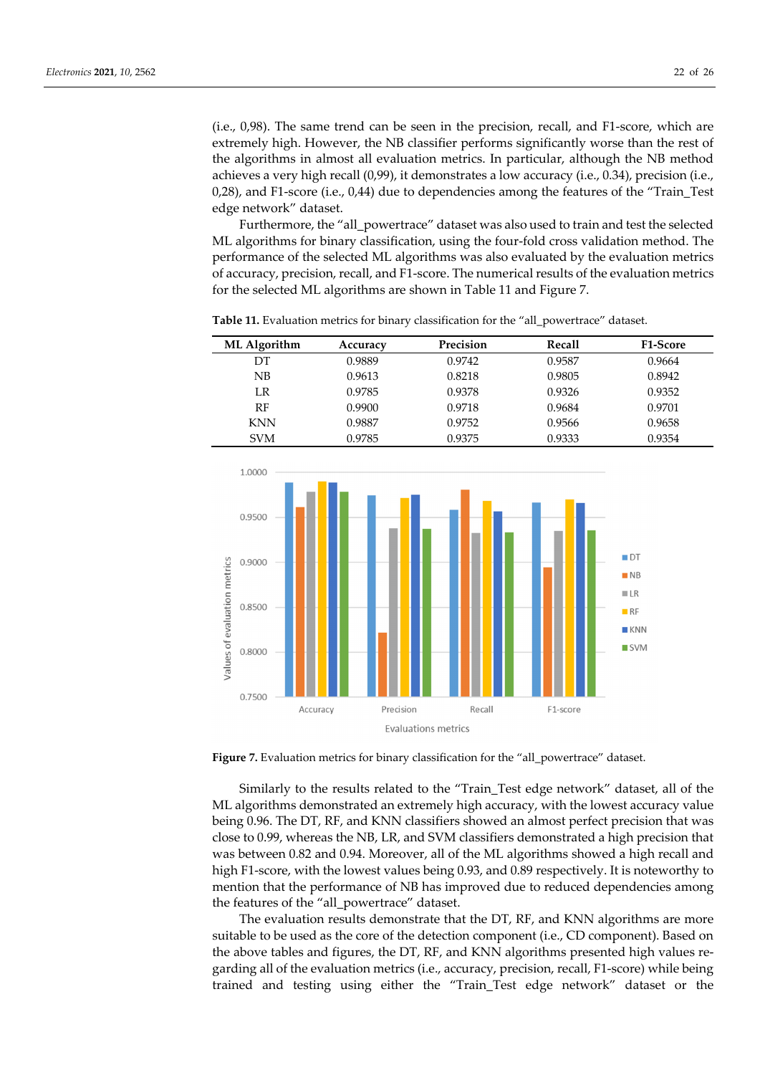(i.e., 0,98). The same trend can be seen in the precision, recall, and F1-score, which are extremely high. However, the NB classifier performs significantly worse than the rest of the algorithms in almost all evaluation metrics. In particular, although the NB method achieves a very high recall (0,99), it demonstrates a low accuracy (i.e., 0.34), precision (i.e., 0,28), and F1-score (i.e., 0,44) due to dependencies among the features of the "Train\_Test edge network" dataset.

Furthermore, the "all\_powertrace" dataset was also used to train and test the selected ML algorithms for binary classification, using the four-fold cross validation method. The performance of the selected ML algorithms was also evaluated by the evaluation metrics of accuracy, precision, recall, and F1-score. The numerical results of the evaluation metrics for the selected ML algorithms are shown in Table 11 and Figure 7.

| ML Algorithm | Accuracy | Precision | Recall | <b>F1-Score</b> |
|--------------|----------|-----------|--------|-----------------|
| DT           | 0.9889   | 0.9742    | 0.9587 | 0.9664          |
| NB           | 0.9613   | 0.8218    | 0.9805 | 0.8942          |
| LR           | 0.9785   | 0.9378    | 0.9326 | 0.9352          |
| RF           | 0.9900   | 0.9718    | 0.9684 | 0.9701          |
| <b>KNN</b>   | 0.9887   | 0.9752    | 0.9566 | 0.9658          |
| <b>SVM</b>   | 0.9785   | 0.9375    | 0.9333 | 0.9354          |

Table 11. Evaluation metrics for binary classification for the "all\_powertrace" dataset.



Figure 7. Evaluation metrics for binary classification for the "all\_powertrace" dataset.

Similarly to the results related to the "Train\_Test edge network" dataset, all of the ML algorithms demonstrated an extremely high accuracy, with the lowest accuracy value being 0.96. The DT, RF, and KNN classifiers showed an almost perfect precision that was close to 0.99, whereas the NB, LR, and SVM classifiers demonstrated a high precision that was between 0.82 and 0.94. Moreover, all of the ML algorithms showed a high recall and high F1-score, with the lowest values being 0.93, and 0.89 respectively. It is noteworthy to mention that the performance of NB has improved due to reduced dependencies among the features of the "all\_powertrace" dataset.

The evaluation results demonstrate that the DT, RF, and KNN algorithms are more suitable to be used as the core of the detection component (i.e., CD component). Based on the above tables and figures, the DT, RF, and KNN algorithms presented high values regarding all of the evaluation metrics (i.e., accuracy, precision, recall, F1-score) while being trained and testing using either the "Train\_Test edge network" dataset or the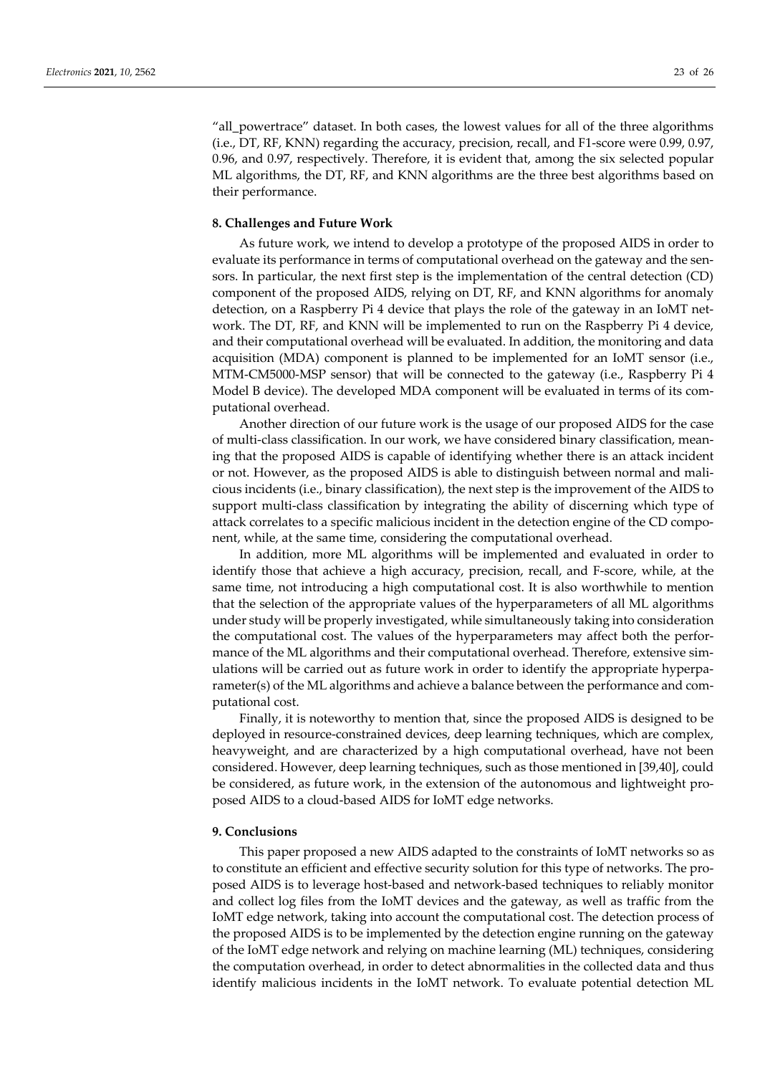"all\_powertrace" dataset. In both cases, the lowest values for all of the three algorithms (i.e., DT, RF, KNN) regarding the accuracy, precision, recall, and F1-score were 0.99, 0.97, 0.96, and 0.97, respectively. Therefore, it is evident that, among the six selected popular ML algorithms, the DT, RF, and KNN algorithms are the three best algorithms based on their performance.

#### **8. Challenges and Future Work**

As future work, we intend to develop a prototype of the proposed AIDS in order to evaluate its performance in terms of computational overhead on the gateway and the sensors. In particular, the next first step is the implementation of the central detection (CD) component of the proposed AIDS, relying on DT, RF, and KNN algorithms for anomaly detection, on a Raspberry Pi 4 device that plays the role of the gateway in an IoMT network. The DT, RF, and KNN will be implemented to run on the Raspberry Pi 4 device, and their computational overhead will be evaluated. In addition, the monitoring and data acquisition (MDA) component is planned to be implemented for an IoMT sensor (i.e., MTM-CM5000-MSP sensor) that will be connected to the gateway (i.e., Raspberry Pi 4 Model B device). The developed MDA component will be evaluated in terms of its computational overhead.

Another direction of our future work is the usage of our proposed AIDS for the case of multi-class classification. In our work, we have considered binary classification, meaning that the proposed AIDS is capable of identifying whether there is an attack incident or not. However, as the proposed AIDS is able to distinguish between normal and malicious incidents (i.e., binary classification), the next step is the improvement of the AIDS to support multi-class classification by integrating the ability of discerning which type of attack correlates to a specific malicious incident in the detection engine of the CD component, while, at the same time, considering the computational overhead.

In addition, more ML algorithms will be implemented and evaluated in order to identify those that achieve a high accuracy, precision, recall, and F-score, while, at the same time, not introducing a high computational cost. It is also worthwhile to mention that the selection of the appropriate values of the hyperparameters of all ML algorithms under study will be properly investigated, while simultaneously taking into consideration the computational cost. The values of the hyperparameters may affect both the performance of the ML algorithms and their computational overhead. Therefore, extensive simulations will be carried out as future work in order to identify the appropriate hyperparameter(s) of the ML algorithms and achieve a balance between the performance and computational cost.

Finally, it is noteworthy to mention that, since the proposed AIDS is designed to be deployed in resource-constrained devices, deep learning techniques, which are complex, heavyweight, and are characterized by a high computational overhead, have not been considered. However, deep learning techniques, such as those mentioned in [39,40], could be considered, as future work, in the extension of the autonomous and lightweight proposed AIDS to a cloud-based AIDS for IoMT edge networks.

#### **9. Conclusions**

This paper proposed a new AIDS adapted to the constraints of IoMT networks so as to constitute an efficient and effective security solution for this type of networks. The proposed AIDS is to leverage host-based and network-based techniques to reliably monitor and collect log files from the IoMT devices and the gateway, as well as traffic from the IoMT edge network, taking into account the computational cost. The detection process of the proposed AIDS is to be implemented by the detection engine running on the gateway of the IoMT edge network and relying on machine learning (ML) techniques, considering the computation overhead, in order to detect abnormalities in the collected data and thus identify malicious incidents in the IoMT network. To evaluate potential detection ML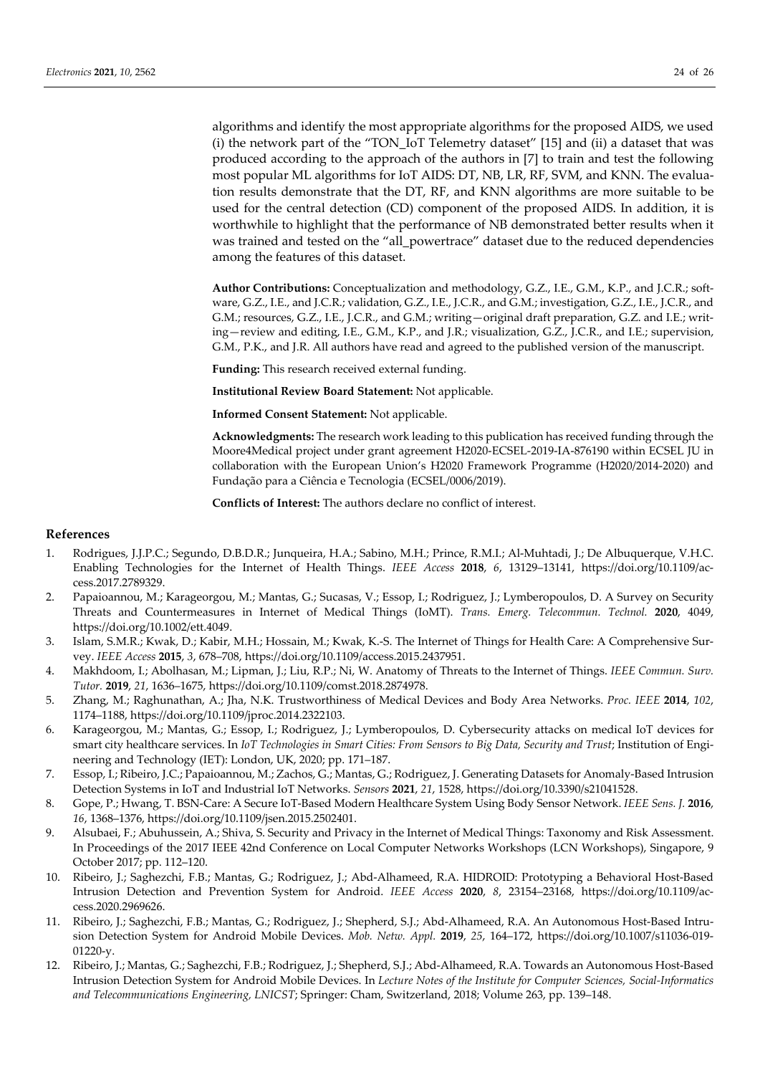algorithms and identify the most appropriate algorithms for the proposed AIDS, we used (i) the network part of the "TON\_IoT Telemetry dataset" [15] and (ii) a dataset that was produced according to the approach of the authors in [7] to train and test the following most popular ML algorithms for IoT AIDS: DT, NB, LR, RF, SVM, and KNN. The evaluation results demonstrate that the DT, RF, and KNN algorithms are more suitable to be used for the central detection (CD) component of the proposed AIDS. In addition, it is worthwhile to highlight that the performance of NB demonstrated better results when it was trained and tested on the "all\_powertrace" dataset due to the reduced dependencies among the features of this dataset.

**Author Contributions:** Conceptualization and methodology, G.Z., I.E., G.M., K.P., and J.C.R.; software, G.Z., I.E., and J.C.R.; validation, G.Z., I.E., J.C.R., and G.M.; investigation, G.Z., I.E., J.C.R., and G.M.; resources, G.Z., I.E., J.C.R., and G.M.; writing—original draft preparation, G.Z. and I.E.; writing—review and editing, I.E., G.M., K.P., and J.R.; visualization, G.Z., J.C.R., and I.E.; supervision, G.M., P.K., and J.R. All authors have read and agreed to the published version of the manuscript.

**Funding:** This research received external funding.

**Institutional Review Board Statement:** Not applicable.

**Informed Consent Statement:** Not applicable.

**Acknowledgments:** The research work leading to this publication has received funding through the Moore4Medical project under grant agreement H2020-ECSEL-2019-IA-876190 within ECSEL JU in collaboration with the European Union's H2020 Framework Programme (H2020/2014-2020) and Fundação para a Ciência e Tecnologia (ECSEL/0006/2019).

**Conflicts of Interest:** The authors declare no conflict of interest.

#### **References**

- 1. Rodrigues, J.J.P.C.; Segundo, D.B.D.R.; Junqueira, H.A.; Sabino, M.H.; Prince, R.M.I.; Al-Muhtadi, J.; De Albuquerque, V.H.C. Enabling Technologies for the Internet of Health Things. *IEEE Access* **2018**, *6*, 13129–13141, https://doi.org/10.1109/access.2017.2789329.
- 2. Papaioannou, M.; Karageorgou, M.; Mantas, G.; Sucasas, V.; Essop, I.; Rodriguez, J.; Lymberopoulos, D. A Survey on Security Threats and Countermeasures in Internet of Medical Things (IoMT). *Trans. Emerg. Telecommun. Technol.* **2020**, 4049, https://doi.org/10.1002/ett.4049.
- 3. Islam, S.M.R.; Kwak, D.; Kabir, M.H.; Hossain, M.; Kwak, K.-S. The Internet of Things for Health Care: A Comprehensive Survey. *IEEE Access* **2015**, *3*, 678–708, https://doi.org/10.1109/access.2015.2437951.
- 4. Makhdoom, I.; Abolhasan, M.; Lipman, J.; Liu, R.P.; Ni, W. Anatomy of Threats to the Internet of Things. *IEEE Commun. Surv. Tutor.* **2019**, *21*, 1636–1675, https://doi.org/10.1109/comst.2018.2874978.
- 5. Zhang, M.; Raghunathan, A.; Jha, N.K. Trustworthiness of Medical Devices and Body Area Networks. *Proc. IEEE* **2014**, *102*, 1174–1188, https://doi.org/10.1109/jproc.2014.2322103.
- 6. Karageorgou, M.; Mantas, G.; Essop, I.; Rodriguez, J.; Lymberopoulos, D. Cybersecurity attacks on medical IoT devices for smart city healthcare services. In *IoT Technologies in Smart Cities: From Sensors to Big Data, Security and Trust;* Institution of Engineering and Technology (IET): London, UK, 2020; pp. 171–187.
- 7. Essop, I.; Ribeiro, J.C.; Papaioannou, M.; Zachos, G.; Mantas, G.; Rodriguez, J. Generating Datasets for Anomaly-Based Intrusion Detection Systems in IoT and Industrial IoT Networks. *Sensors* **2021**, *21*, 1528, https://doi.org/10.3390/s21041528.
- 8. Gope, P.; Hwang, T. BSN-Care: A Secure IoT-Based Modern Healthcare System Using Body Sensor Network. *IEEE Sens. J.* **2016**, *16*, 1368–1376, https://doi.org/10.1109/jsen.2015.2502401.
- 9. Alsubaei, F.; Abuhussein, A.; Shiva, S. Security and Privacy in the Internet of Medical Things: Taxonomy and Risk Assessment. In Proceedings of the 2017 IEEE 42nd Conference on Local Computer Networks Workshops (LCN Workshops), Singapore, 9 October 2017; pp. 112–120.
- 10. Ribeiro, J.; Saghezchi, F.B.; Mantas, G.; Rodriguez, J.; Abd-Alhameed, R.A. HIDROID: Prototyping a Behavioral Host-Based Intrusion Detection and Prevention System for Android. *IEEE Access* **2020**, *8*, 23154–23168, https://doi.org/10.1109/access.2020.2969626.
- 11. Ribeiro, J.; Saghezchi, F.B.; Mantas, G.; Rodriguez, J.; Shepherd, S.J.; Abd-Alhameed, R.A. An Autonomous Host-Based Intrusion Detection System for Android Mobile Devices. *Mob. Netw. Appl.* **2019**, *25*, 164–172, https://doi.org/10.1007/s11036-019- 01220-y.
- 12. Ribeiro, J.; Mantas, G.; Saghezchi, F.B.; Rodriguez, J.; Shepherd, S.J.; Abd-Alhameed, R.A. Towards an Autonomous Host-Based Intrusion Detection System for Android Mobile Devices. In *Lecture Notes of the Institute for Computer Sciences, Social-Informatics and Telecommunications Engineering, LNICST*; Springer: Cham, Switzerland, 2018; Volume 263, pp. 139–148.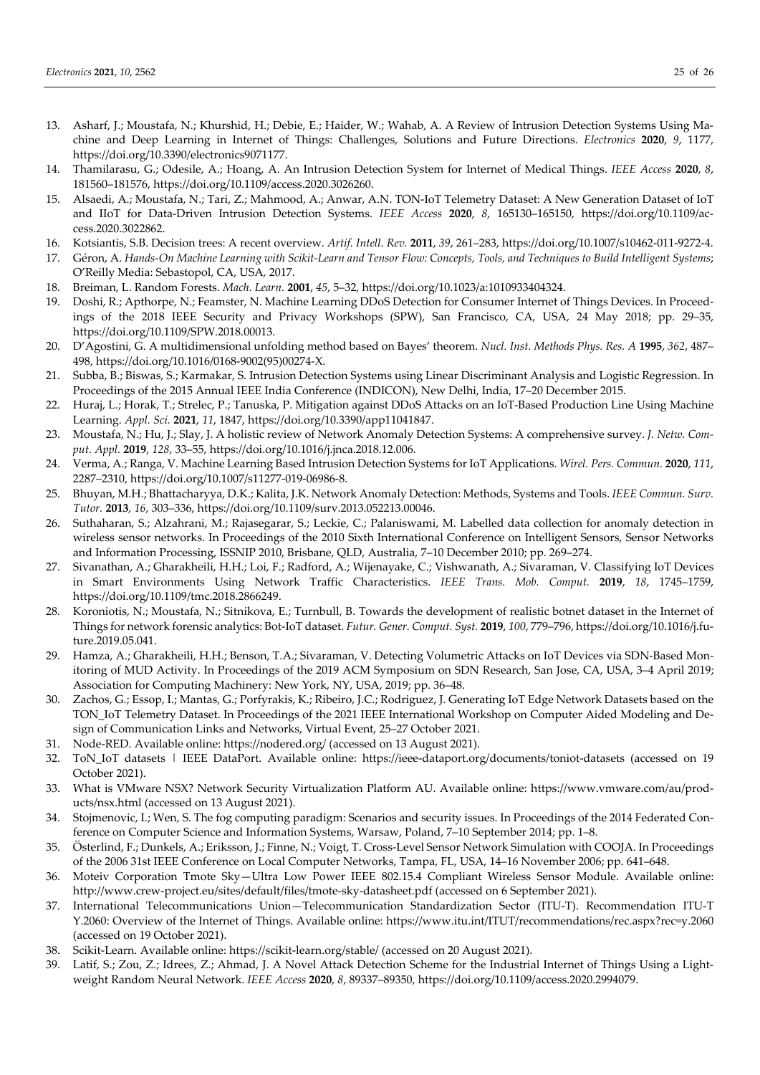- 13. Asharf, J.; Moustafa, N.; Khurshid, H.; Debie, E.; Haider, W.; Wahab, A. A Review of Intrusion Detection Systems Using Machine and Deep Learning in Internet of Things: Challenges, Solutions and Future Directions. *Electronics* **2020**, *9*, 1177, https://doi.org/10.3390/electronics9071177.
- 14. Thamilarasu, G.; Odesile, A.; Hoang, A. An Intrusion Detection System for Internet of Medical Things. *IEEE Access* **2020**, *8*, 181560–181576, https://doi.org/10.1109/access.2020.3026260.
- 15. Alsaedi, A.; Moustafa, N.; Tari, Z.; Mahmood, A.; Anwar, A.N. TON-IoT Telemetry Dataset: A New Generation Dataset of IoT and IIoT for Data-Driven Intrusion Detection Systems. *IEEE Access* **2020**, *8*, 165130–165150, https://doi.org/10.1109/access.2020.3022862.
- 16. Kotsiantis, S.B. Decision trees: A recent overview. *Artif. Intell. Rev.* **2011**, *39*, 261–283, https://doi.org/10.1007/s10462-011-9272-4.
- 17. Géron, A. *Hands-On Machine Learning with Scikit-Learn and Tensor Flow: Concepts, Tools, and Techniques to Build Intelligent Systems*; O'Reilly Media: Sebastopol, CA, USA, 2017.
- 18. Breiman, L. Random Forests. *Mach. Learn.* **2001**, *45*, 5–32, https://doi.org/10.1023/a:1010933404324.
- 19. Doshi, R.; Apthorpe, N.; Feamster, N. Machine Learning DDoS Detection for Consumer Internet of Things Devices. In Proceedings of the 2018 IEEE Security and Privacy Workshops (SPW), San Francisco, CA, USA, 24 May 2018; pp. 29–35, https://doi.org/10.1109/SPW.2018.00013.
- 20. D'Agostini, G. A multidimensional unfolding method based on Bayes' theorem. *Nucl. Inst. Methods Phys. Res. A* **1995**, *362*, 487– 498, https://doi.org/10.1016/0168-9002(95)00274-X.
- 21. Subba, B.; Biswas, S.; Karmakar, S. Intrusion Detection Systems using Linear Discriminant Analysis and Logistic Regression. In Proceedings of the 2015 Annual IEEE India Conference (INDICON), New Delhi, India, 17–20 December 2015.
- 22. Huraj, L.; Horak, T.; Strelec, P.; Tanuska, P. Mitigation against DDoS Attacks on an IoT-Based Production Line Using Machine Learning. *Appl. Sci.* **2021**, *11*, 1847, https://doi.org/10.3390/app11041847.
- 23. Moustafa, N.; Hu, J.; Slay, J. A holistic review of Network Anomaly Detection Systems: A comprehensive survey. *J. Netw. Comput. Appl.* **2019**, *128*, 33–55, https://doi.org/10.1016/j.jnca.2018.12.006.
- 24. Verma, A.; Ranga, V. Machine Learning Based Intrusion Detection Systems for IoT Applications. *Wirel. Pers. Commun.* **2020**, *111*, 2287–2310, https://doi.org/10.1007/s11277-019-06986-8.
- 25. Bhuyan, M.H.; Bhattacharyya, D.K.; Kalita, J.K. Network Anomaly Detection: Methods, Systems and Tools. *IEEE Commun. Surv. Tutor.* **2013**, *16*, 303–336, https://doi.org/10.1109/surv.2013.052213.00046.
- 26. Suthaharan, S.; Alzahrani, M.; Rajasegarar, S.; Leckie, C.; Palaniswami, M. Labelled data collection for anomaly detection in wireless sensor networks. In Proceedings of the 2010 Sixth International Conference on Intelligent Sensors, Sensor Networks and Information Processing, ISSNIP 2010, Brisbane, QLD, Australia, 7–10 December 2010; pp. 269–274.
- 27. Sivanathan, A.; Gharakheili, H.H.; Loi, F.; Radford, A.; Wijenayake, C.; Vishwanath, A.; Sivaraman, V. Classifying IoT Devices in Smart Environments Using Network Traffic Characteristics. *IEEE Trans. Mob. Comput.* **2019**, *18*, 1745–1759, https://doi.org/10.1109/tmc.2018.2866249.
- 28. Koroniotis, N.; Moustafa, N.; Sitnikova, E.; Turnbull, B. Towards the development of realistic botnet dataset in the Internet of Things for network forensic analytics: Bot-IoT dataset. *Futur. Gener. Comput. Syst.* **2019**, *100*, 779–796, https://doi.org/10.1016/j.future.2019.05.041.
- 29. Hamza, A.; Gharakheili, H.H.; Benson, T.A.; Sivaraman, V. Detecting Volumetric Attacks on IoT Devices via SDN-Based Monitoring of MUD Activity. In Proceedings of the 2019 ACM Symposium on SDN Research, San Jose, CA, USA, 3–4 April 2019; Association for Computing Machinery: New York, NY, USA, 2019; pp. 36–48.
- 30. Zachos, G.; Essop, I.; Mantas, G.; Porfyrakis, K.; Ribeiro, J.C.; Rodriguez, J. Generating IoT Edge Network Datasets based on the TON\_IoT Telemetry Dataset. In Proceedings of the 2021 IEEE International Workshop on Computer Aided Modeling and Design of Communication Links and Networks, Virtual Event, 25–27 October 2021.
- 31. Node-RED. Available online: https://nodered.org/ (accessed on 13 August 2021).
- 32. ToN\_IoT datasets | IEEE DataPort. Available online: https://ieee-dataport.org/documents/toniot-datasets (accessed on 19 October 2021).
- 33. What is VMware NSX? Network Security Virtualization Platform AU. Available online: https://www.vmware.com/au/products/nsx.html (accessed on 13 August 2021).
- 34. Stojmenovic, I.; Wen, S. The fog computing paradigm: Scenarios and security issues. In Proceedings of the 2014 Federated Conference on Computer Science and Information Systems, Warsaw, Poland, 7–10 September 2014; pp. 1–8.
- 35. Österlind, F.; Dunkels, A.; Eriksson, J.; Finne, N.; Voigt, T. Cross-Level Sensor Network Simulation with COOJA. In Proceedings of the 2006 31st IEEE Conference on Local Computer Networks, Tampa, FL, USA, 14–16 November 2006; pp. 641–648.
- 36. Moteiv Corporation Tmote Sky—Ultra Low Power IEEE 802.15.4 Compliant Wireless Sensor Module. Available online: http://www.crew-project.eu/sites/default/files/tmote-sky-datasheet.pdf (accessed on 6 September 2021).
- 37. International Telecommunications Union—Telecommunication Standardization Sector (ITU-T). Recommendation ITU-T Y.2060: Overview of the Internet of Things. Available online: https://www.itu.int/ITUT/recommendations/rec.aspx?rec=y.2060 (accessed on 19 October 2021).
- 38. Scikit-Learn. Available online: https://scikit-learn.org/stable/ (accessed on 20 August 2021).
- 39. Latif, S.; Zou, Z.; Idrees, Z.; Ahmad, J. A Novel Attack Detection Scheme for the Industrial Internet of Things Using a Lightweight Random Neural Network. *IEEE Access* **2020**, *8*, 89337–89350, https://doi.org/10.1109/access.2020.2994079.